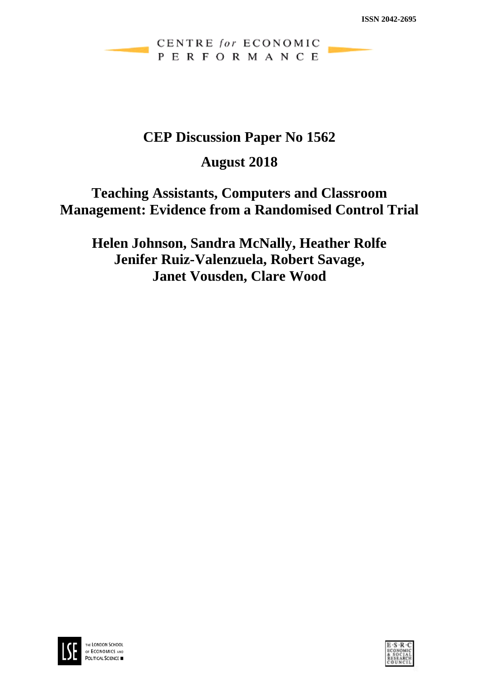CENTRE for ECONOMIC PERFORMANCE

# **CEP Discussion Paper No 1562**

# **August 2018**

# **Teaching Assistants, Computers and Classroom Management: Evidence from a Randomised Control Trial**

**Helen Johnson, Sandra McNally, Heather Rolfe Jenifer Ruiz-Valenzuela, Robert Savage, Janet Vousden, Clare Wood**



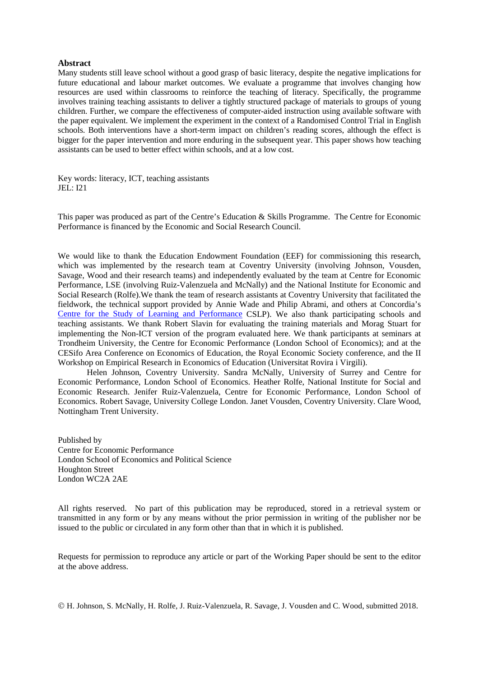#### **Abstract**

Many students still leave school without a good grasp of basic literacy, despite the negative implications for future educational and labour market outcomes. We evaluate a programme that involves changing how resources are used within classrooms to reinforce the teaching of literacy. Specifically, the programme involves training teaching assistants to deliver a tightly structured package of materials to groups of young children. Further, we compare the effectiveness of computer-aided instruction using available software with the paper equivalent. We implement the experiment in the context of a Randomised Control Trial in English schools. Both interventions have a short-term impact on children's reading scores, although the effect is bigger for the paper intervention and more enduring in the subsequent year. This paper shows how teaching assistants can be used to better effect within schools, and at a low cost.

Key words: literacy, ICT, teaching assistants JEL: I21

This paper was produced as part of the Centre's Education & Skills Programme. The Centre for Economic Performance is financed by the Economic and Social Research Council.

We would like to thank the Education Endowment Foundation (EEF) for commissioning this research, which was implemented by the research team at Coventry University (involving Johnson, Vousden, Savage, Wood and their research teams) and independently evaluated by the team at Centre for Economic Performance, LSE (involving Ruiz-Valenzuela and McNally) and the National Institute for Economic and Social Research (Rolfe).We thank the team of research assistants at Coventry University that facilitated the fieldwork, the technical support provided by Annie Wade and Philip Abrami, and others at Concordia's [Centre for the Study of Learning and Performance](https://www.concordia.ca/research/learning-performance.html) CSLP). We also thank participating schools and teaching assistants. We thank Robert Slavin for evaluating the training materials and Morag Stuart for implementing the Non-ICT version of the program evaluated here. We thank participants at seminars at Trondheim University, the Centre for Economic Performance (London School of Economics); and at the CESifo Area Conference on Economics of Education, the Royal Economic Society conference, and the II Workshop on Empirical Research in Economics of Education (Universitat Rovira i Virgili).

Helen Johnson, Coventry University. Sandra McNally, University of Surrey and Centre for Economic Performance, London School of Economics. Heather Rolfe, National Institute for Social and Economic Research. Jenifer Ruiz-Valenzuela, Centre for Economic Performance, London School of Economics. Robert Savage, University College London. Janet Vousden, Coventry University. Clare Wood, Nottingham Trent University.

Published by Centre for Economic Performance London School of Economics and Political Science Houghton Street London WC2A 2AE

All rights reserved. No part of this publication may be reproduced, stored in a retrieval system or transmitted in any form or by any means without the prior permission in writing of the publisher nor be issued to the public or circulated in any form other than that in which it is published.

Requests for permission to reproduce any article or part of the Working Paper should be sent to the editor at the above address.

H. Johnson, S. McNally, H. Rolfe, J. Ruiz-Valenzuela, R. Savage, J. Vousden and C. Wood, submitted 2018.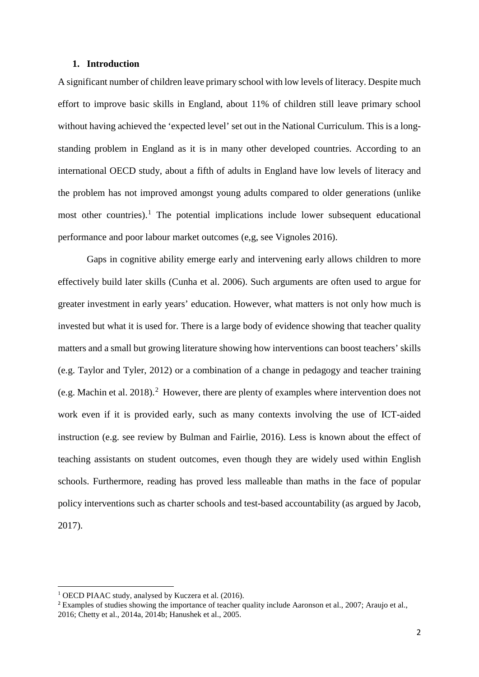### **1. Introduction**

A significant number of children leave primary school with low levels of literacy. Despite much effort to improve basic skills in England, about 11% of children still leave primary school without having achieved the 'expected level' set out in the National Curriculum. This is a longstanding problem in England as it is in many other developed countries. According to an international OECD study, about a fifth of adults in England have low levels of literacy and the problem has not improved amongst young adults compared to older generations (unlike most other countries).<sup>[1](#page-2-0)</sup> The potential implications include lower subsequent educational performance and poor labour market outcomes (e,g, see Vignoles 2016).

Gaps in cognitive ability emerge early and intervening early allows children to more effectively build later skills (Cunha et al. 2006). Such arguments are often used to argue for greater investment in early years' education. However, what matters is not only how much is invested but what it is used for. There is a large body of evidence showing that teacher quality matters and a small but growing literature showing how interventions can boost teachers' skills (e.g. Taylor and Tyler, 2012) or a combination of a change in pedagogy and teacher training (e.g. Machin et al. [2](#page-2-1)018).<sup>2</sup> However, there are plenty of examples where intervention does not work even if it is provided early, such as many contexts involving the use of ICT-aided instruction (e.g. see review by Bulman and Fairlie, 2016). Less is known about the effect of teaching assistants on student outcomes, even though they are widely used within English schools. Furthermore, reading has proved less malleable than maths in the face of popular policy interventions such as charter schools and test-based accountability (as argued by Jacob, 2017).

<span id="page-2-0"></span><sup>1</sup> OECD PIAAC study, analysed by Kuczera et al. (2016).

<span id="page-2-1"></span><sup>2</sup> Examples of studies showing the importance of teacher quality include Aaronson et al., 2007; Araujo et al., 2016; Chetty et al., 2014a, 2014b; Hanushek et al., 2005.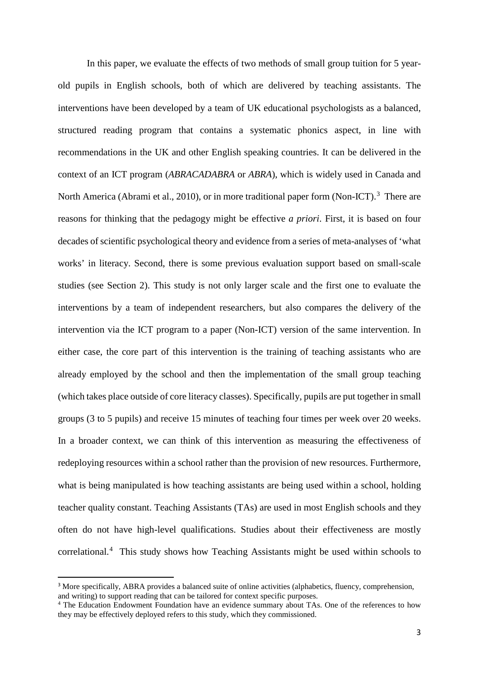In this paper, we evaluate the effects of two methods of small group tuition for 5 yearold pupils in English schools, both of which are delivered by teaching assistants. The interventions have been developed by a team of UK educational psychologists as a balanced, structured reading program that contains a systematic phonics aspect, in line with recommendations in the UK and other English speaking countries. It can be delivered in the context of an ICT program (*ABRACADABRA* or *ABRA*), which is widely used in Canada and North America (Abrami et al., 2010), or in more traditional paper form (Non-ICT).<sup>[3](#page-3-0)</sup> There are reasons for thinking that the pedagogy might be effective *a priori*. First, it is based on four decades of scientific psychological theory and evidence from a series of meta-analyses of 'what works' in literacy. Second, there is some previous evaluation support based on small-scale studies (see Section 2). This study is not only larger scale and the first one to evaluate the interventions by a team of independent researchers, but also compares the delivery of the intervention via the ICT program to a paper (Non-ICT) version of the same intervention. In either case, the core part of this intervention is the training of teaching assistants who are already employed by the school and then the implementation of the small group teaching (which takes place outside of core literacy classes). Specifically, pupils are put together in small groups (3 to 5 pupils) and receive 15 minutes of teaching four times per week over 20 weeks. In a broader context, we can think of this intervention as measuring the effectiveness of redeploying resources within a school rather than the provision of new resources. Furthermore, what is being manipulated is how teaching assistants are being used within a school, holding teacher quality constant. Teaching Assistants (TAs) are used in most English schools and they often do not have high-level qualifications. Studies about their effectiveness are mostly correlational.[4](#page-3-1) This study shows how Teaching Assistants might be used within schools to

<span id="page-3-0"></span><sup>&</sup>lt;sup>3</sup> More specifically, ABRA provides a balanced suite of online activities (alphabetics, fluency, comprehension, and writing) to support reading that can be tailored for context specific purposes.

<span id="page-3-1"></span><sup>4</sup> The Education Endowment Foundation have an evidence summary about TAs. One of the references to how they may be effectively deployed refers to this study, which they commissioned.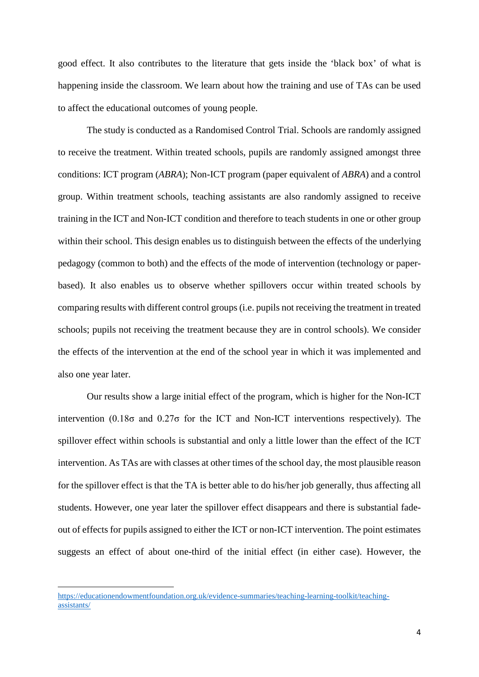good effect. It also contributes to the literature that gets inside the 'black box' of what is happening inside the classroom. We learn about how the training and use of TAs can be used to affect the educational outcomes of young people.

The study is conducted as a Randomised Control Trial. Schools are randomly assigned to receive the treatment. Within treated schools, pupils are randomly assigned amongst three conditions: ICT program (*ABRA*); Non-ICT program (paper equivalent of *ABRA*) and a control group. Within treatment schools, teaching assistants are also randomly assigned to receive training in the ICT and Non-ICT condition and therefore to teach students in one or other group within their school. This design enables us to distinguish between the effects of the underlying pedagogy (common to both) and the effects of the mode of intervention (technology or paperbased). It also enables us to observe whether spillovers occur within treated schools by comparing results with different control groups (i.e. pupils not receiving the treatment in treated schools; pupils not receiving the treatment because they are in control schools). We consider the effects of the intervention at the end of the school year in which it was implemented and also one year later.

Our results show a large initial effect of the program, which is higher for the Non-ICT intervention (0.18 $\sigma$  and 0.27 $\sigma$  for the ICT and Non-ICT interventions respectively). The spillover effect within schools is substantial and only a little lower than the effect of the ICT intervention. As TAs are with classes at other times of the school day, the most plausible reason for the spillover effect is that the TA is better able to do his/her job generally, thus affecting all students. However, one year later the spillover effect disappears and there is substantial fadeout of effects for pupils assigned to either the ICT or non-ICT intervention. The point estimates suggests an effect of about one-third of the initial effect (in either case). However, the

**.** 

[https://educationendowmentfoundation.org.uk/evidence-summaries/teaching-learning-toolkit/teaching](https://educationendowmentfoundation.org.uk/evidence-summaries/teaching-learning-toolkit/teaching-assistants/)[assistants/](https://educationendowmentfoundation.org.uk/evidence-summaries/teaching-learning-toolkit/teaching-assistants/)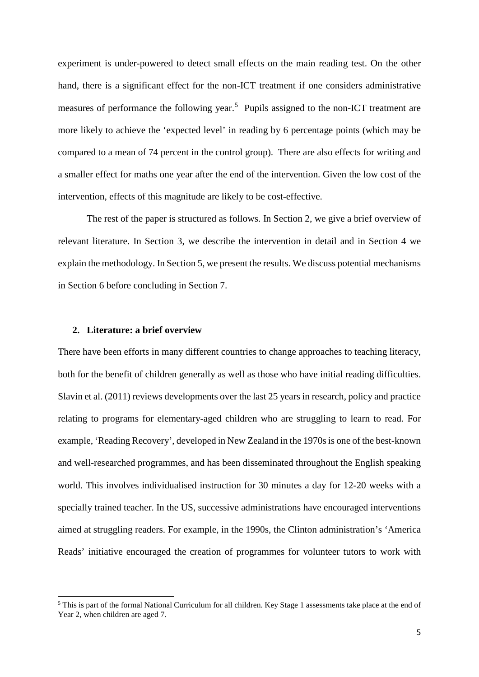experiment is under-powered to detect small effects on the main reading test. On the other hand, there is a significant effect for the non-ICT treatment if one considers administrative measures of performance the following year.<sup>[5](#page-5-0)</sup> Pupils assigned to the non-ICT treatment are more likely to achieve the 'expected level' in reading by 6 percentage points (which may be compared to a mean of 74 percent in the control group). There are also effects for writing and a smaller effect for maths one year after the end of the intervention. Given the low cost of the intervention, effects of this magnitude are likely to be cost-effective.

The rest of the paper is structured as follows. In Section 2, we give a brief overview of relevant literature. In Section 3, we describe the intervention in detail and in Section 4 we explain the methodology. In Section 5, we present the results. We discuss potential mechanisms in Section 6 before concluding in Section 7.

## **2. Literature: a brief overview**

 $\overline{a}$ 

There have been efforts in many different countries to change approaches to teaching literacy, both for the benefit of children generally as well as those who have initial reading difficulties. Slavin et al. (2011) reviews developments over the last 25 years in research, policy and practice relating to programs for elementary-aged children who are struggling to learn to read. For example, 'Reading Recovery', developed in New Zealand in the 1970s is one of the best-known and well-researched programmes, and has been disseminated throughout the English speaking world. This involves individualised instruction for 30 minutes a day for 12-20 weeks with a specially trained teacher. In the US, successive administrations have encouraged interventions aimed at struggling readers. For example, in the 1990s, the Clinton administration's 'America Reads' initiative encouraged the creation of programmes for volunteer tutors to work with

<span id="page-5-0"></span><sup>5</sup> This is part of the formal National Curriculum for all children. Key Stage 1 assessments take place at the end of Year 2, when children are aged 7.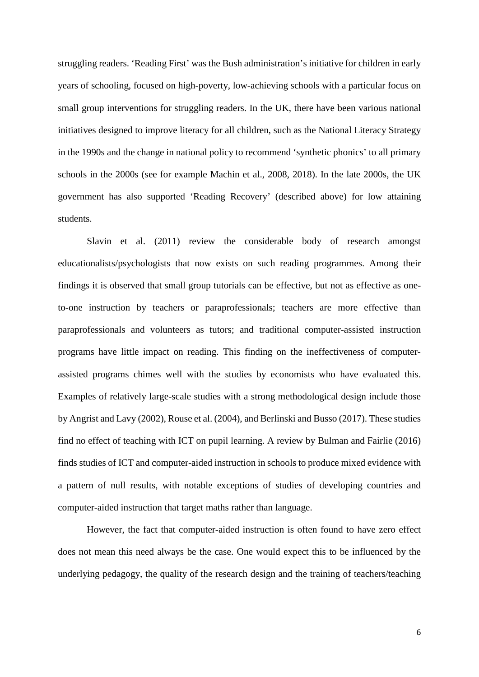struggling readers. 'Reading First' was the Bush administration's initiative for children in early years of schooling, focused on high-poverty, low-achieving schools with a particular focus on small group interventions for struggling readers. In the UK, there have been various national initiatives designed to improve literacy for all children, such as the National Literacy Strategy in the 1990s and the change in national policy to recommend 'synthetic phonics' to all primary schools in the 2000s (see for example Machin et al., 2008, 2018). In the late 2000s, the UK government has also supported 'Reading Recovery' (described above) for low attaining students.

Slavin et al. (2011) review the considerable body of research amongst educationalists/psychologists that now exists on such reading programmes. Among their findings it is observed that small group tutorials can be effective, but not as effective as oneto-one instruction by teachers or paraprofessionals; teachers are more effective than paraprofessionals and volunteers as tutors; and traditional computer-assisted instruction programs have little impact on reading. This finding on the ineffectiveness of computerassisted programs chimes well with the studies by economists who have evaluated this. Examples of relatively large-scale studies with a strong methodological design include those by Angrist and Lavy (2002), Rouse et al. (2004), and Berlinski and Busso (2017). These studies find no effect of teaching with ICT on pupil learning. A review by Bulman and Fairlie (2016) finds studies of ICT and computer-aided instruction in schools to produce mixed evidence with a pattern of null results, with notable exceptions of studies of developing countries and computer-aided instruction that target maths rather than language.

However, the fact that computer-aided instruction is often found to have zero effect does not mean this need always be the case. One would expect this to be influenced by the underlying pedagogy, the quality of the research design and the training of teachers/teaching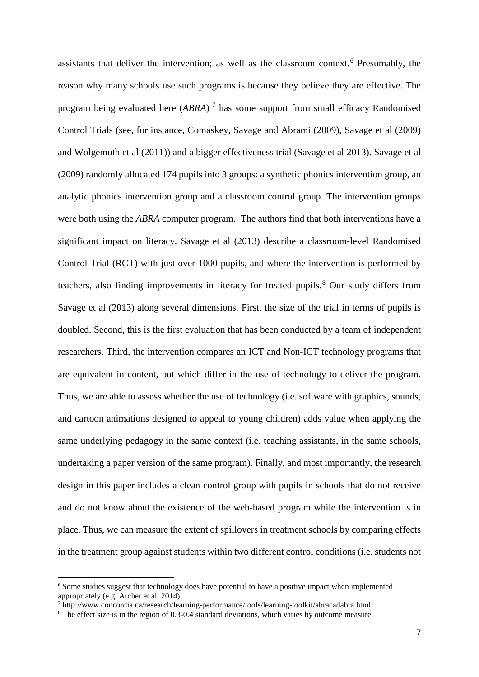assistants that deliver the intervention; as well as the classroom context.<sup>[6](#page-7-0)</sup> Presumably, the reason why many schools use such programs is because they believe they are effective. The program being evaluated here (*ABRA*) [7](#page-7-1) has some support from small efficacy Randomised Control Trials (see, for instance, Comaskey, Savage and Abrami (2009), Savage et al (2009) and Wolgemuth et al (2011)) and a bigger effectiveness trial (Savage et al 2013). Savage et al (2009) randomly allocated 174 pupils into 3 groups: a synthetic phonics intervention group, an analytic phonics intervention group and a classroom control group. The intervention groups were both using the *ABRA* computer program. The authors find that both interventions have a significant impact on literacy. Savage et al (2013) describe a classroom-level Randomised Control Trial (RCT) with just over 1000 pupils, and where the intervention is performed by teachers, also finding improvements in literacy for treated pupils. [8](#page-7-2) Our study differs from Savage et al (2013) along several dimensions. First, the size of the trial in terms of pupils is doubled. Second, this is the first evaluation that has been conducted by a team of independent researchers. Third, the intervention compares an ICT and Non-ICT technology programs that are equivalent in content, but which differ in the use of technology to deliver the program. Thus, we are able to assess whether the use of technology (i.e. software with graphics, sounds, and cartoon animations designed to appeal to young children) adds value when applying the same underlying pedagogy in the same context (i.e. teaching assistants, in the same schools, undertaking a paper version of the same program). Finally, and most importantly, the research design in this paper includes a clean control group with pupils in schools that do not receive and do not know about the existence of the web-based program while the intervention is in place. Thus, we can measure the extent of spillovers in treatment schools by comparing effects in the treatment group against students within two different control conditions (i.e. students not

<span id="page-7-0"></span> $6$  Some studies suggest that technology does have potential to have a positive impact when implemented appropriately (e.g. Archer et al. 2014).

 $^7$  http://www.concordia.ca/research/learning-performance/tools/learning-toolkit/abracadabra.html

<span id="page-7-2"></span><span id="page-7-1"></span><sup>&</sup>lt;sup>8</sup> The effect size is in the region of 0.3-0.4 standard deviations, which varies by outcome measure.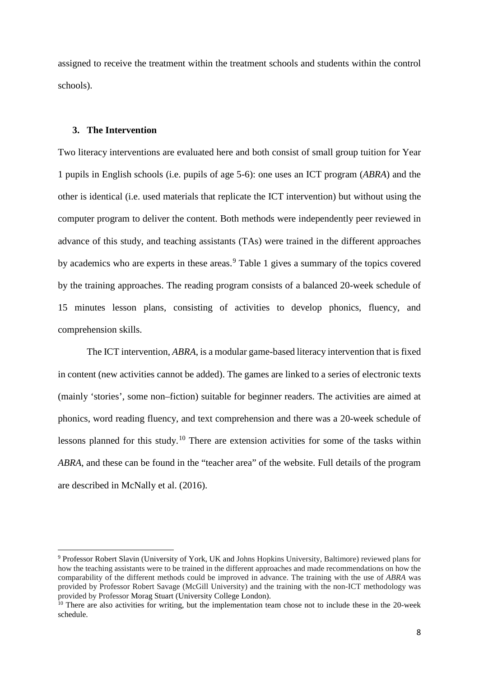assigned to receive the treatment within the treatment schools and students within the control schools).

# **3. The Intervention**

 $\overline{a}$ 

Two literacy interventions are evaluated here and both consist of small group tuition for Year 1 pupils in English schools (i.e. pupils of age 5-6): one uses an ICT program (*ABRA*) and the other is identical (i.e. used materials that replicate the ICT intervention) but without using the computer program to deliver the content. Both methods were independently peer reviewed in advance of this study, and teaching assistants (TAs) were trained in the different approaches by academics who are experts in these areas.<sup>[9](#page-8-0)</sup> Table 1 gives a summary of the topics covered by the training approaches. The reading program consists of a balanced 20-week schedule of 15 minutes lesson plans, consisting of activities to develop phonics, fluency, and comprehension skills.

The ICT intervention, *ABRA*, is a modular game-based literacy intervention that is fixed in content (new activities cannot be added). The games are linked to a series of electronic texts (mainly 'stories', some non–fiction) suitable for beginner readers. The activities are aimed at phonics, word reading fluency, and text comprehension and there was a 20-week schedule of lessons planned for this study.<sup>[10](#page-8-1)</sup> There are extension activities for some of the tasks within *ABRA*, and these can be found in the "teacher area" of the website. Full details of the program are described in McNally et al. (2016).

<span id="page-8-0"></span><sup>9</sup> Professor Robert Slavin (University of York, UK and Johns Hopkins University, Baltimore) reviewed plans for how the teaching assistants were to be trained in the different approaches and made recommendations on how the comparability of the different methods could be improved in advance. The training with the use of *ABRA* was provided by Professor Robert Savage (McGill University) and the training with the non-ICT methodology was provided by Professor Morag Stuart (University College London).

<span id="page-8-1"></span> $10$  There are also activities for writing, but the implementation team chose not to include these in the 20-week schedule.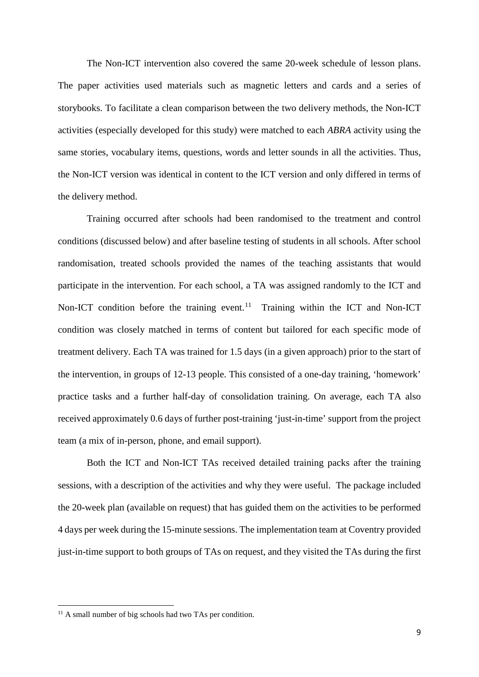The Non-ICT intervention also covered the same 20-week schedule of lesson plans. The paper activities used materials such as magnetic letters and cards and a series of storybooks. To facilitate a clean comparison between the two delivery methods, the Non-ICT activities (especially developed for this study) were matched to each *ABRA* activity using the same stories, vocabulary items, questions, words and letter sounds in all the activities. Thus, the Non-ICT version was identical in content to the ICT version and only differed in terms of the delivery method.

Training occurred after schools had been randomised to the treatment and control conditions (discussed below) and after baseline testing of students in all schools. After school randomisation, treated schools provided the names of the teaching assistants that would participate in the intervention. For each school, a TA was assigned randomly to the ICT and Non-ICT condition before the training event.<sup>11</sup> Training within the ICT and Non-ICT condition was closely matched in terms of content but tailored for each specific mode of treatment delivery. Each TA was trained for 1.5 days (in a given approach) prior to the start of the intervention, in groups of 12-13 people. This consisted of a one-day training, 'homework' practice tasks and a further half-day of consolidation training. On average, each TA also received approximately 0.6 days of further post-training 'just-in-time' support from the project team (a mix of in-person, phone, and email support).

Both the ICT and Non-ICT TAs received detailed training packs after the training sessions, with a description of the activities and why they were useful. The package included the 20-week plan (available on request) that has guided them on the activities to be performed 4 days per week during the 15-minute sessions. The implementation team at Coventry provided just-in-time support to both groups of TAs on request, and they visited the TAs during the first

 $\overline{a}$ 

<span id="page-9-0"></span><sup>&</sup>lt;sup>11</sup> A small number of big schools had two TAs per condition.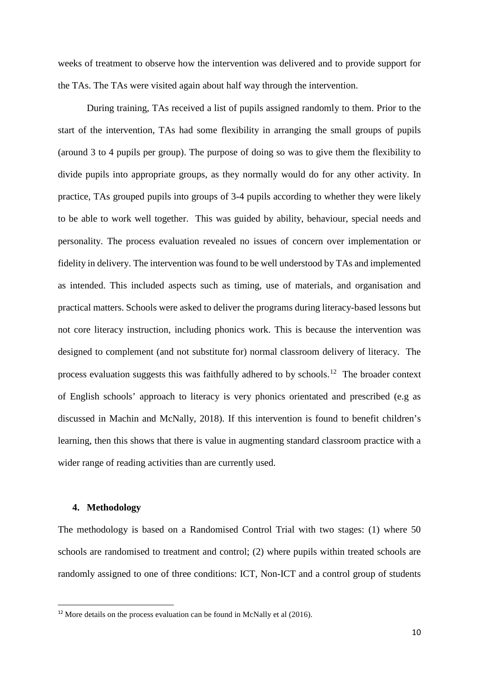weeks of treatment to observe how the intervention was delivered and to provide support for the TAs. The TAs were visited again about half way through the intervention.

During training, TAs received a list of pupils assigned randomly to them. Prior to the start of the intervention, TAs had some flexibility in arranging the small groups of pupils (around 3 to 4 pupils per group). The purpose of doing so was to give them the flexibility to divide pupils into appropriate groups, as they normally would do for any other activity. In practice, TAs grouped pupils into groups of 3-4 pupils according to whether they were likely to be able to work well together. This was guided by ability, behaviour, special needs and personality. The process evaluation revealed no issues of concern over implementation or fidelity in delivery. The intervention was found to be well understood by TAs and implemented as intended. This included aspects such as timing, use of materials, and organisation and practical matters. Schools were asked to deliver the programs during literacy-based lessons but not core literacy instruction, including phonics work. This is because the intervention was designed to complement (and not substitute for) normal classroom delivery of literacy. The process evaluation suggests this was faithfully adhered to by schools.[12](#page-10-0) The broader context of English schools' approach to literacy is very phonics orientated and prescribed (e.g as discussed in Machin and McNally, 2018). If this intervention is found to benefit children's learning, then this shows that there is value in augmenting standard classroom practice with a wider range of reading activities than are currently used.

### **4. Methodology**

The methodology is based on a Randomised Control Trial with two stages: (1) where 50 schools are randomised to treatment and control; (2) where pupils within treated schools are randomly assigned to one of three conditions: ICT, Non-ICT and a control group of students

<span id="page-10-0"></span><sup>&</sup>lt;sup>12</sup> More details on the process evaluation can be found in McNally et al  $(2016)$ .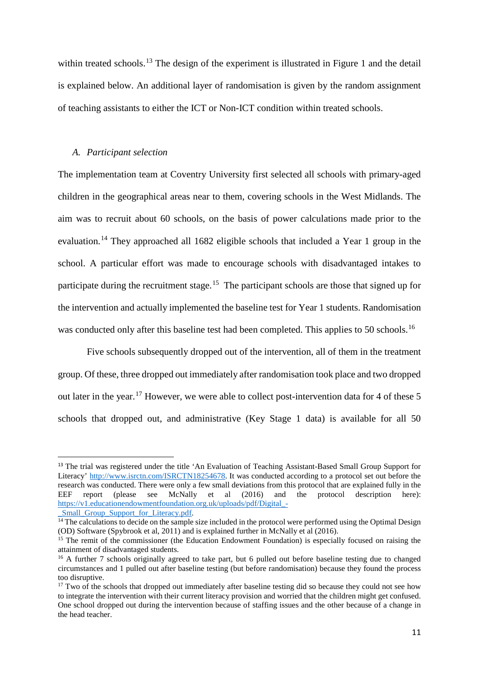within treated schools.<sup>[13](#page-11-0)</sup> The design of the experiment is illustrated in Figure 1 and the detail is explained below. An additional layer of randomisation is given by the random assignment of teaching assistants to either the ICT or Non-ICT condition within treated schools.

### *A. Participant selection*

The implementation team at Coventry University first selected all schools with primary-aged children in the geographical areas near to them, covering schools in the West Midlands. The aim was to recruit about 60 schools, on the basis of power calculations made prior to the evaluation.[14](#page-11-1) They approached all 1682 eligible schools that included a Year 1 group in the school. A particular effort was made to encourage schools with disadvantaged intakes to participate during the recruitment stage.<sup>[15](#page-11-2)</sup> The participant schools are those that signed up for the intervention and actually implemented the baseline test for Year 1 students. Randomisation was conducted only after this baseline test had been completed. This applies to 50 schools.<sup>[16](#page-11-3)</sup>

Five schools subsequently dropped out of the intervention, all of them in the treatment group. Of these, three dropped out immediately after randomisation took place and two dropped out later in the year.<sup>[17](#page-11-4)</sup> However, we were able to collect post-intervention data for 4 of these 5 schools that dropped out, and administrative (Key Stage 1 data) is available for all 50

<span id="page-11-0"></span><sup>&</sup>lt;sup>13</sup> The trial was registered under the title 'An Evaluation of Teaching Assistant-Based Small Group Support for Literacy' [http://www.isrctn.com/ISRCTN18254678.](http://www.isrctn.com/ISRCTN18254678) It was conducted according to a protocol set out before the research was conducted. There were only a few small deviations from this protocol that are explained fully in the EEF report (please see McNally et al (2016) and the protocol description here): [https://v1.educationendowmentfoundation.org.uk/uploads/pdf/Digital\\_-](https://v1.educationendowmentfoundation.org.uk/uploads/pdf/Digital_-_Small_Group_Support_for_Literacy.pdf)

Small Group Support for Literacy.pdf.

<span id="page-11-1"></span> $14$  The calculations to decide on the sample size included in the protocol were performed using the Optimal Design (OD) Software (Spybrook et al, 2011) and is explained further in McNally et al (2016).

<span id="page-11-2"></span><sup>&</sup>lt;sup>15</sup> The remit of the commissioner (the Education Endowment Foundation) is especially focused on raising the attainment of disadvantaged students.

<span id="page-11-3"></span><sup>&</sup>lt;sup>16</sup> A further 7 schools originally agreed to take part, but 6 pulled out before baseline testing due to changed circumstances and 1 pulled out after baseline testing (but before randomisation) because they found the process too disruptive.

<span id="page-11-4"></span><sup>&</sup>lt;sup>17</sup> Two of the schools that dropped out immediately after baseline testing did so because they could not see how to integrate the intervention with their current literacy provision and worried that the children might get confused. One school dropped out during the intervention because of staffing issues and the other because of a change in the head teacher.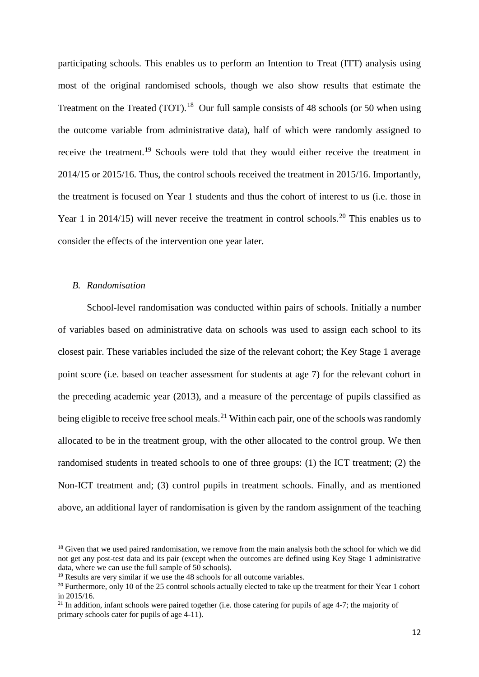participating schools. This enables us to perform an Intention to Treat (ITT) analysis using most of the original randomised schools, though we also show results that estimate the Treatment on the Treated (TOT).<sup>[18](#page-12-0)</sup> Our full sample consists of 48 schools (or 50 when using the outcome variable from administrative data), half of which were randomly assigned to receive the treatment.[19](#page-12-1) Schools were told that they would either receive the treatment in 2014/15 or 2015/16. Thus, the control schools received the treatment in 2015/16. Importantly, the treatment is focused on Year 1 students and thus the cohort of interest to us (i.e. those in Year 1 in [20](#page-12-2)14/15) will never receive the treatment in control schools.<sup>20</sup> This enables us to consider the effects of the intervention one year later.

# *B. Randomisation*

 $\overline{a}$ 

School-level randomisation was conducted within pairs of schools. Initially a number of variables based on administrative data on schools was used to assign each school to its closest pair. These variables included the size of the relevant cohort; the Key Stage 1 average point score (i.e. based on teacher assessment for students at age 7) for the relevant cohort in the preceding academic year (2013), and a measure of the percentage of pupils classified as being eligible to receive free school meals.<sup>[21](#page-12-3)</sup> Within each pair, one of the schools was randomly allocated to be in the treatment group, with the other allocated to the control group. We then randomised students in treated schools to one of three groups: (1) the ICT treatment; (2) the Non-ICT treatment and; (3) control pupils in treatment schools. Finally, and as mentioned above, an additional layer of randomisation is given by the random assignment of the teaching

<span id="page-12-0"></span><sup>&</sup>lt;sup>18</sup> Given that we used paired randomisation, we remove from the main analysis both the school for which we did not get any post-test data and its pair (except when the outcomes are defined using Key Stage 1 administrative data, where we can use the full sample of 50 schools).

<span id="page-12-1"></span> $19$  Results are very similar if we use the 48 schools for all outcome variables.

<span id="page-12-2"></span><sup>&</sup>lt;sup>20</sup> Furthermore, only 10 of the 25 control schools actually elected to take up the treatment for their Year 1 cohort in 2015/16.

<span id="page-12-3"></span><sup>&</sup>lt;sup>21</sup> In addition, infant schools were paired together (i.e. those catering for pupils of age 4-7; the majority of primary schools cater for pupils of age 4-11).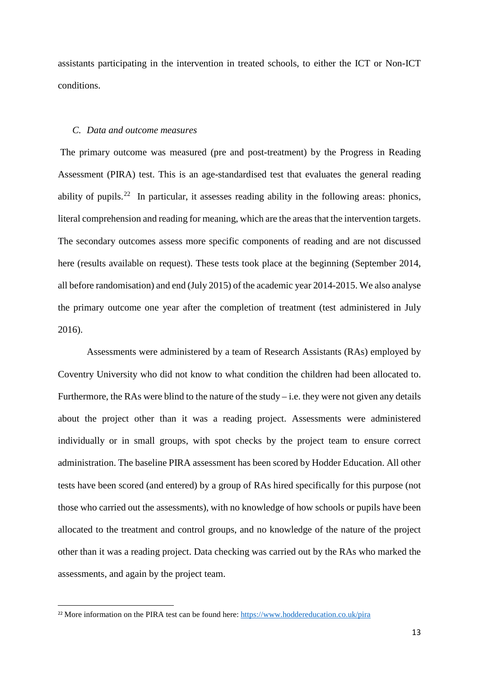assistants participating in the intervention in treated schools, to either the ICT or Non-ICT conditions.

### *C. Data and outcome measures*

The primary outcome was measured (pre and post-treatment) by the Progress in Reading Assessment (PIRA) test. This is an age-standardised test that evaluates the general reading ability of pupils.<sup>[22](#page-13-0)</sup> In particular, it assesses reading ability in the following areas: phonics, literal comprehension and reading for meaning, which are the areas that the intervention targets. The secondary outcomes assess more specific components of reading and are not discussed here (results available on request). These tests took place at the beginning (September 2014, all before randomisation) and end (July 2015) of the academic year 2014-2015. We also analyse the primary outcome one year after the completion of treatment (test administered in July 2016).

Assessments were administered by a team of Research Assistants (RAs) employed by Coventry University who did not know to what condition the children had been allocated to. Furthermore, the RAs were blind to the nature of the study  $-$  i.e. they were not given any details about the project other than it was a reading project. Assessments were administered individually or in small groups, with spot checks by the project team to ensure correct administration. The baseline PIRA assessment has been scored by Hodder Education. All other tests have been scored (and entered) by a group of RAs hired specifically for this purpose (not those who carried out the assessments), with no knowledge of how schools or pupils have been allocated to the treatment and control groups, and no knowledge of the nature of the project other than it was a reading project. Data checking was carried out by the RAs who marked the assessments, and again by the project team.

<span id="page-13-0"></span><sup>&</sup>lt;sup>22</sup> More information on the PIRA test can be found here:<https://www.hoddereducation.co.uk/pira>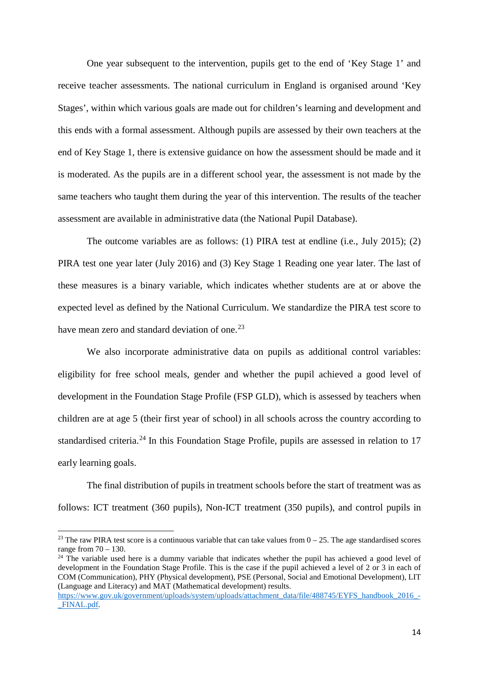One year subsequent to the intervention, pupils get to the end of 'Key Stage 1' and receive teacher assessments. The national curriculum in England is organised around 'Key Stages', within which various goals are made out for children's learning and development and this ends with a formal assessment. Although pupils are assessed by their own teachers at the end of Key Stage 1, there is extensive guidance on how the assessment should be made and it is moderated. As the pupils are in a different school year, the assessment is not made by the same teachers who taught them during the year of this intervention. The results of the teacher assessment are available in administrative data (the National Pupil Database).

The outcome variables are as follows: (1) PIRA test at endline (i.e., July 2015); (2) PIRA test one year later (July 2016) and (3) Key Stage 1 Reading one year later. The last of these measures is a binary variable, which indicates whether students are at or above the expected level as defined by the National Curriculum. We standardize the PIRA test score to have mean zero and standard deviation of one.<sup>[23](#page-14-0)</sup>

We also incorporate administrative data on pupils as additional control variables: eligibility for free school meals, gender and whether the pupil achieved a good level of development in the Foundation Stage Profile (FSP GLD), which is assessed by teachers when children are at age 5 (their first year of school) in all schools across the country according to standardised criteria.<sup>[24](#page-14-1)</sup> In this Foundation Stage Profile, pupils are assessed in relation to 17 early learning goals.

The final distribution of pupils in treatment schools before the start of treatment was as follows: ICT treatment (360 pupils), Non-ICT treatment (350 pupils), and control pupils in

<u>.</u>

<span id="page-14-0"></span><sup>&</sup>lt;sup>23</sup> The raw PIRA test score is a continuous variable that can take values from  $0 - 25$ . The age standardised scores range from  $70 - 130$ .

<span id="page-14-1"></span><sup>&</sup>lt;sup>24</sup> The variable used here is a dummy variable that indicates whether the pupil has achieved a good level of development in the Foundation Stage Profile. This is the case if the pupil achieved a level of 2 or 3 in each of COM (Communication), PHY (Physical development), PSE (Personal, Social and Emotional Development), LIT (Language and Literacy) and MAT (Mathematical development) results.

[https://www.gov.uk/government/uploads/system/uploads/attachment\\_data/file/488745/EYFS\\_handbook\\_2016\\_-](https://www.gov.uk/government/uploads/system/uploads/attachment_data/file/488745/EYFS_handbook_2016_-_FINAL.pdf) FINAL.pdf.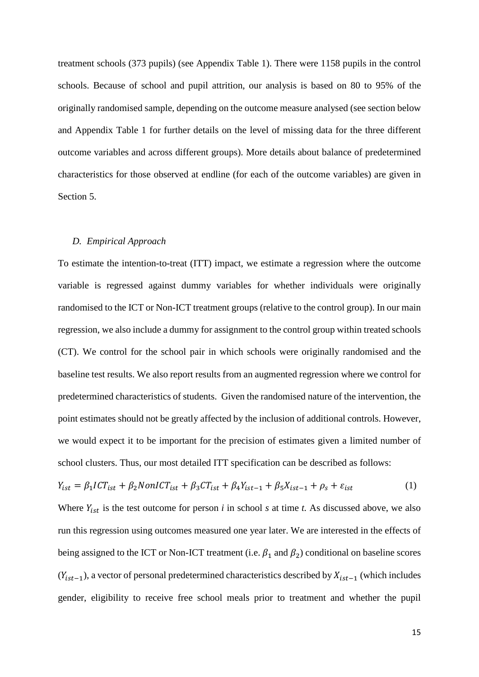treatment schools (373 pupils) (see Appendix Table 1). There were 1158 pupils in the control schools. Because of school and pupil attrition, our analysis is based on 80 to 95% of the originally randomised sample, depending on the outcome measure analysed (see section below and Appendix Table 1 for further details on the level of missing data for the three different outcome variables and across different groups). More details about balance of predetermined characteristics for those observed at endline (for each of the outcome variables) are given in Section 5.

### *D. Empirical Approach*

To estimate the intention-to-treat (ITT) impact, we estimate a regression where the outcome variable is regressed against dummy variables for whether individuals were originally randomised to the ICT or Non-ICT treatment groups (relative to the control group). In our main regression, we also include a dummy for assignment to the control group within treated schools (CT). We control for the school pair in which schools were originally randomised and the baseline test results. We also report results from an augmented regression where we control for predetermined characteristics of students. Given the randomised nature of the intervention, the point estimates should not be greatly affected by the inclusion of additional controls. However, we would expect it to be important for the precision of estimates given a limited number of school clusters. Thus, our most detailed ITT specification can be described as follows:

$$
Y_{ist} = \beta_1 I C T_{ist} + \beta_2 N on I C T_{ist} + \beta_3 C T_{ist} + \beta_4 Y_{ist-1} + \beta_5 X_{ist-1} + \rho_s + \varepsilon_{ist} \tag{1}
$$

Where  $Y_{ist}$  is the test outcome for person *i* in school *s* at time *t*. As discussed above, we also run this regression using outcomes measured one year later. We are interested in the effects of being assigned to the ICT or Non-ICT treatment (i.e.  $\beta_1$  and  $\beta_2$ ) conditional on baseline scores  $(Y_{ist-1})$ , a vector of personal predetermined characteristics described by  $X_{ist-1}$  (which includes gender, eligibility to receive free school meals prior to treatment and whether the pupil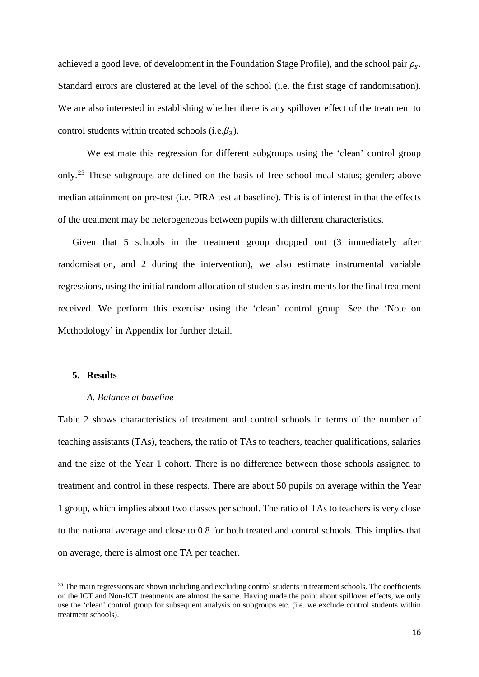achieved a good level of development in the Foundation Stage Profile), and the school pair  $\rho_{\rm s}$ . Standard errors are clustered at the level of the school (i.e. the first stage of randomisation). We are also interested in establishing whether there is any spillover effect of the treatment to control students within treated schools (i.e.  $\beta_3$ ).

We estimate this regression for different subgroups using the 'clean' control group only.[25](#page-16-0) These subgroups are defined on the basis of free school meal status; gender; above median attainment on pre-test (i.e. PIRA test at baseline). This is of interest in that the effects of the treatment may be heterogeneous between pupils with different characteristics.

Given that 5 schools in the treatment group dropped out (3 immediately after randomisation, and 2 during the intervention), we also estimate instrumental variable regressions, using the initial random allocation of students as instruments for the final treatment received. We perform this exercise using the 'clean' control group. See the 'Note on Methodology' in Appendix for further detail.

# **5. Results**

 $\overline{a}$ 

### *A. Balance at baseline*

Table 2 shows characteristics of treatment and control schools in terms of the number of teaching assistants (TAs), teachers, the ratio of TAs to teachers, teacher qualifications, salaries and the size of the Year 1 cohort. There is no difference between those schools assigned to treatment and control in these respects. There are about 50 pupils on average within the Year 1 group, which implies about two classes per school. The ratio of TAs to teachers is very close to the national average and close to 0.8 for both treated and control schools. This implies that on average, there is almost one TA per teacher.

<span id="page-16-0"></span><sup>&</sup>lt;sup>25</sup> The main regressions are shown including and excluding control students in treatment schools. The coefficients on the ICT and Non-ICT treatments are almost the same. Having made the point about spillover effects, we only use the 'clean' control group for subsequent analysis on subgroups etc. (i.e. we exclude control students within treatment schools).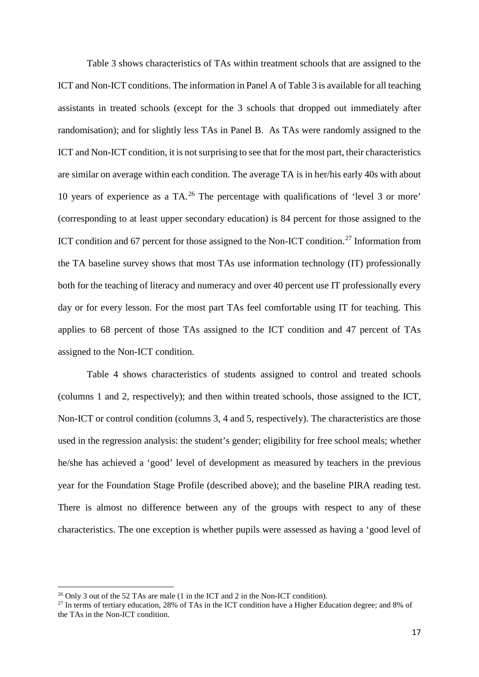Table 3 shows characteristics of TAs within treatment schools that are assigned to the ICT and Non-ICT conditions. The information in Panel A of Table 3 is available for all teaching assistants in treated schools (except for the 3 schools that dropped out immediately after randomisation); and for slightly less TAs in Panel B. As TAs were randomly assigned to the ICT and Non-ICT condition, it is not surprising to see that for the most part, their characteristics are similar on average within each condition. The average TA is in her/his early 40s with about 10 years of experience as a TA.[26](#page-17-0) The percentage with qualifications of 'level 3 or more' (corresponding to at least upper secondary education) is 84 percent for those assigned to the ICT condition and 67 percent for those assigned to the Non-ICT condition.<sup>[27](#page-17-1)</sup> Information from the TA baseline survey shows that most TAs use information technology (IT) professionally both for the teaching of literacy and numeracy and over 40 percent use IT professionally every day or for every lesson. For the most part TAs feel comfortable using IT for teaching. This applies to 68 percent of those TAs assigned to the ICT condition and 47 percent of TAs assigned to the Non-ICT condition.

Table 4 shows characteristics of students assigned to control and treated schools (columns 1 and 2, respectively); and then within treated schools, those assigned to the ICT, Non-ICT or control condition (columns 3, 4 and 5, respectively). The characteristics are those used in the regression analysis: the student's gender; eligibility for free school meals; whether he/she has achieved a 'good' level of development as measured by teachers in the previous year for the Foundation Stage Profile (described above); and the baseline PIRA reading test. There is almost no difference between any of the groups with respect to any of these characteristics. The one exception is whether pupils were assessed as having a 'good level of

**.** 

<span id="page-17-1"></span><span id="page-17-0"></span><sup>&</sup>lt;sup>26</sup> Only 3 out of the 52 TAs are male (1 in the ICT and 2 in the Non-ICT condition).<br><sup>27</sup> In terms of tertiary education, 28% of TAs in the ICT condition have a Higher Education degree; and 8% of the TAs in the Non-ICT condition.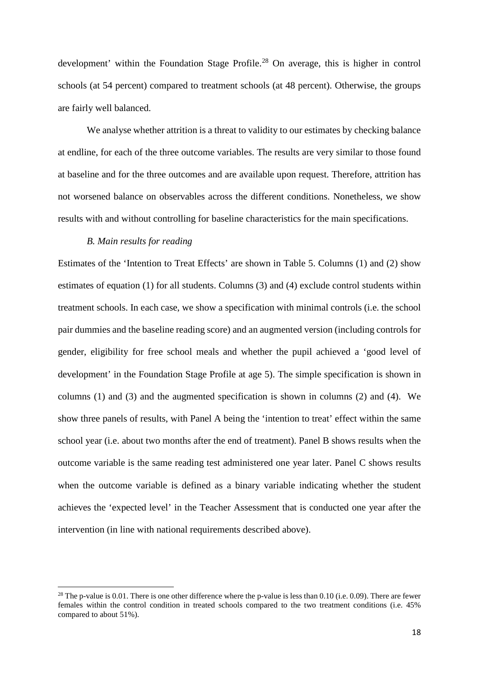development' within the Foundation Stage Profile.<sup>[28](#page-18-0)</sup> On average, this is higher in control schools (at 54 percent) compared to treatment schools (at 48 percent). Otherwise, the groups are fairly well balanced.

We analyse whether attrition is a threat to validity to our estimates by checking balance at endline, for each of the three outcome variables. The results are very similar to those found at baseline and for the three outcomes and are available upon request. Therefore, attrition has not worsened balance on observables across the different conditions. Nonetheless, we show results with and without controlling for baseline characteristics for the main specifications.

# *B. Main results for reading*

**.** 

Estimates of the 'Intention to Treat Effects' are shown in Table 5. Columns (1) and (2) show estimates of equation (1) for all students. Columns (3) and (4) exclude control students within treatment schools. In each case, we show a specification with minimal controls (i.e. the school pair dummies and the baseline reading score) and an augmented version (including controls for gender, eligibility for free school meals and whether the pupil achieved a 'good level of development' in the Foundation Stage Profile at age 5). The simple specification is shown in columns (1) and (3) and the augmented specification is shown in columns (2) and (4). We show three panels of results, with Panel A being the 'intention to treat' effect within the same school year (i.e. about two months after the end of treatment). Panel B shows results when the outcome variable is the same reading test administered one year later. Panel C shows results when the outcome variable is defined as a binary variable indicating whether the student achieves the 'expected level' in the Teacher Assessment that is conducted one year after the intervention (in line with national requirements described above).

<span id="page-18-0"></span><sup>&</sup>lt;sup>28</sup> The p-value is 0.01. There is one other difference where the p-value is less than 0.10 (i.e. 0.09). There are fewer females within the control condition in treated schools compared to the two treatment conditions (i.e. 45% compared to about 51%).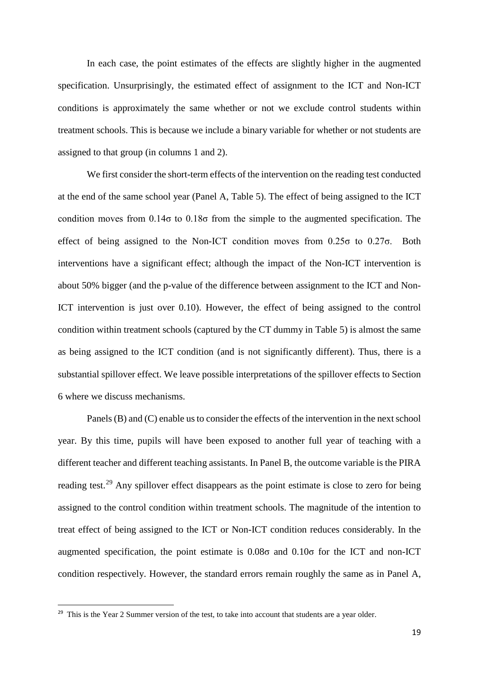In each case, the point estimates of the effects are slightly higher in the augmented specification. Unsurprisingly, the estimated effect of assignment to the ICT and Non-ICT conditions is approximately the same whether or not we exclude control students within treatment schools. This is because we include a binary variable for whether or not students are assigned to that group (in columns 1 and 2).

We first consider the short-term effects of the intervention on the reading test conducted at the end of the same school year (Panel A, Table 5). The effect of being assigned to the ICT condition moves from 0.14σ to 0.18σ from the simple to the augmented specification. The effect of being assigned to the Non-ICT condition moves from 0.25σ to 0.27σ. Both interventions have a significant effect; although the impact of the Non-ICT intervention is about 50% bigger (and the p-value of the difference between assignment to the ICT and Non-ICT intervention is just over 0.10). However, the effect of being assigned to the control condition within treatment schools (captured by the CT dummy in Table 5) is almost the same as being assigned to the ICT condition (and is not significantly different). Thus, there is a substantial spillover effect. We leave possible interpretations of the spillover effects to Section 6 where we discuss mechanisms.

Panels (B) and (C) enable us to consider the effects of the intervention in the next school year. By this time, pupils will have been exposed to another full year of teaching with a different teacher and different teaching assistants. In Panel B, the outcome variable is the PIRA reading test.<sup>[29](#page-19-0)</sup> Any spillover effect disappears as the point estimate is close to zero for being assigned to the control condition within treatment schools. The magnitude of the intention to treat effect of being assigned to the ICT or Non-ICT condition reduces considerably. In the augmented specification, the point estimate is  $0.08\sigma$  and  $0.10\sigma$  for the ICT and non-ICT condition respectively. However, the standard errors remain roughly the same as in Panel A,

<span id="page-19-0"></span><sup>&</sup>lt;sup>29</sup> This is the Year 2 Summer version of the test, to take into account that students are a year older.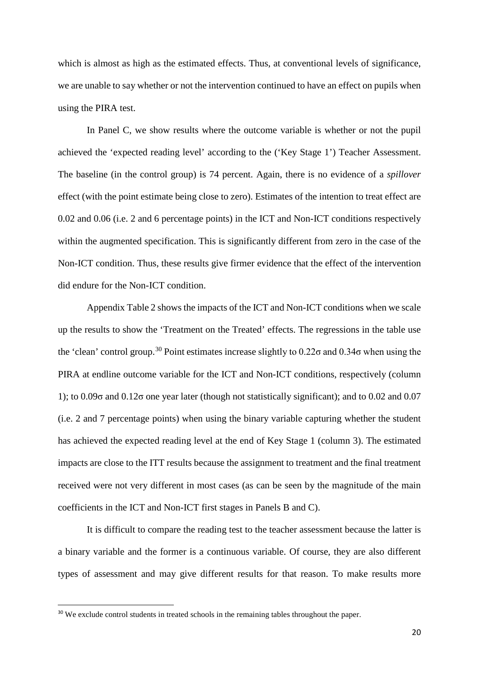which is almost as high as the estimated effects. Thus, at conventional levels of significance, we are unable to say whether or not the intervention continued to have an effect on pupils when using the PIRA test.

In Panel C, we show results where the outcome variable is whether or not the pupil achieved the 'expected reading level' according to the ('Key Stage 1') Teacher Assessment. The baseline (in the control group) is 74 percent. Again, there is no evidence of a *spillover* effect (with the point estimate being close to zero). Estimates of the intention to treat effect are 0.02 and 0.06 (i.e. 2 and 6 percentage points) in the ICT and Non-ICT conditions respectively within the augmented specification. This is significantly different from zero in the case of the Non-ICT condition. Thus, these results give firmer evidence that the effect of the intervention did endure for the Non-ICT condition.

Appendix Table 2 shows the impacts of the ICT and Non-ICT conditions when we scale up the results to show the 'Treatment on the Treated' effects. The regressions in the table use the 'clean' control group.<sup>[30](#page-20-0)</sup> Point estimates increase slightly to  $0.22\sigma$  and  $0.34\sigma$  when using the PIRA at endline outcome variable for the ICT and Non-ICT conditions, respectively (column 1); to  $0.09\sigma$  and  $0.12\sigma$  one year later (though not statistically significant); and to  $0.02$  and  $0.07$ (i.e. 2 and 7 percentage points) when using the binary variable capturing whether the student has achieved the expected reading level at the end of Key Stage 1 (column 3). The estimated impacts are close to the ITT results because the assignment to treatment and the final treatment received were not very different in most cases (as can be seen by the magnitude of the main coefficients in the ICT and Non-ICT first stages in Panels B and C).

It is difficult to compare the reading test to the teacher assessment because the latter is a binary variable and the former is a continuous variable. Of course, they are also different types of assessment and may give different results for that reason. To make results more

<span id="page-20-0"></span><sup>&</sup>lt;sup>30</sup> We exclude control students in treated schools in the remaining tables throughout the paper.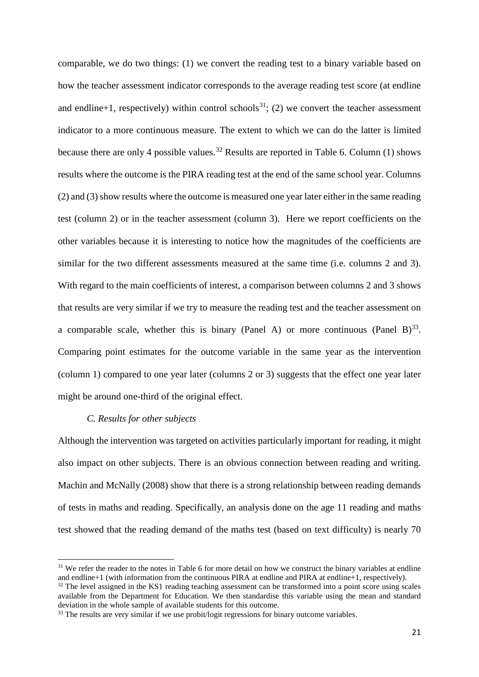comparable, we do two things: (1) we convert the reading test to a binary variable based on how the teacher assessment indicator corresponds to the average reading test score (at endline and endline+1, respectively) within control schools<sup>31</sup>; (2) we convert the teacher assessment indicator to a more continuous measure. The extent to which we can do the latter is limited because there are only 4 possible values.<sup>[32](#page-21-1)</sup> Results are reported in Table 6. Column (1) shows results where the outcome is the PIRA reading test at the end of the same school year. Columns (2) and (3) show results where the outcome is measured one year later either in the same reading test (column 2) or in the teacher assessment (column 3). Here we report coefficients on the other variables because it is interesting to notice how the magnitudes of the coefficients are similar for the two different assessments measured at the same time (i.e. columns 2 and 3). With regard to the main coefficients of interest, a comparison between columns 2 and 3 shows that results are very similar if we try to measure the reading test and the teacher assessment on a comparable scale, whether this is binary (Panel A) or more continuous (Panel B)<sup>[33](#page-21-2)</sup>. Comparing point estimates for the outcome variable in the same year as the intervention (column 1) compared to one year later (columns 2 or 3) suggests that the effect one year later might be around one-third of the original effect.

### *C. Results for other subjects*

**.** 

Although the intervention was targeted on activities particularly important for reading, it might also impact on other subjects. There is an obvious connection between reading and writing. Machin and McNally (2008) show that there is a strong relationship between reading demands of tests in maths and reading. Specifically, an analysis done on the age 11 reading and maths test showed that the reading demand of the maths test (based on text difficulty) is nearly 70

<span id="page-21-0"></span><sup>&</sup>lt;sup>31</sup> We refer the reader to the notes in Table 6 for more detail on how we construct the binary variables at endline and endline+1 (with information from the continuous PIRA at endline and PIRA at endline+1, respectively).

<span id="page-21-1"></span><sup>&</sup>lt;sup>32</sup> The level assigned in the KS1 reading teaching assessment can be transformed into a point score using scales available from the Department for Education. We then standardise this variable using the mean and standard deviation in the whole sample of available students for this outcome.

<span id="page-21-2"></span> $33$  The results are very similar if we use probit/logit regressions for binary outcome variables.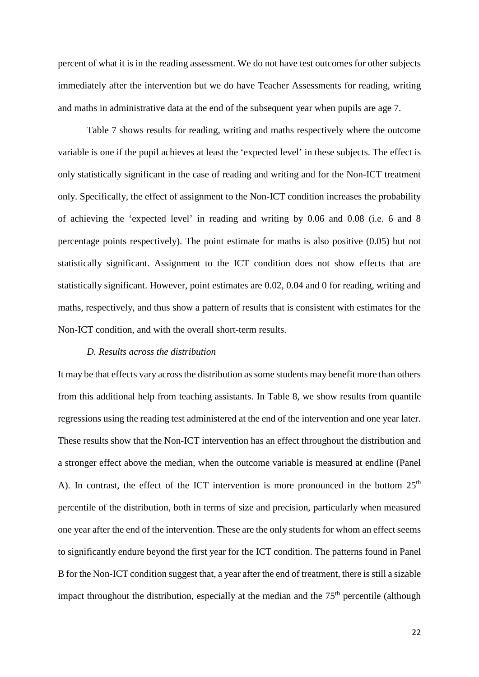percent of what it is in the reading assessment. We do not have test outcomes for other subjects immediately after the intervention but we do have Teacher Assessments for reading, writing and maths in administrative data at the end of the subsequent year when pupils are age 7.

Table 7 shows results for reading, writing and maths respectively where the outcome variable is one if the pupil achieves at least the 'expected level' in these subjects. The effect is only statistically significant in the case of reading and writing and for the Non-ICT treatment only. Specifically, the effect of assignment to the Non-ICT condition increases the probability of achieving the 'expected level' in reading and writing by 0.06 and 0.08 (i.e. 6 and 8 percentage points respectively). The point estimate for maths is also positive (0.05) but not statistically significant. Assignment to the ICT condition does not show effects that are statistically significant. However, point estimates are 0.02, 0.04 and 0 for reading, writing and maths, respectively, and thus show a pattern of results that is consistent with estimates for the Non-ICT condition, and with the overall short-term results.

### *D. Results across the distribution*

It may be that effects vary across the distribution as some students may benefit more than others from this additional help from teaching assistants. In Table 8, we show results from quantile regressions using the reading test administered at the end of the intervention and one year later. These results show that the Non-ICT intervention has an effect throughout the distribution and a stronger effect above the median, when the outcome variable is measured at endline (Panel A). In contrast, the effect of the ICT intervention is more pronounced in the bottom  $25<sup>th</sup>$ percentile of the distribution, both in terms of size and precision, particularly when measured one year after the end of the intervention. These are the only students for whom an effect seems to significantly endure beyond the first year for the ICT condition. The patterns found in Panel B for the Non-ICT condition suggest that, a year after the end of treatment, there is still a sizable impact throughout the distribution, especially at the median and the 75<sup>th</sup> percentile (although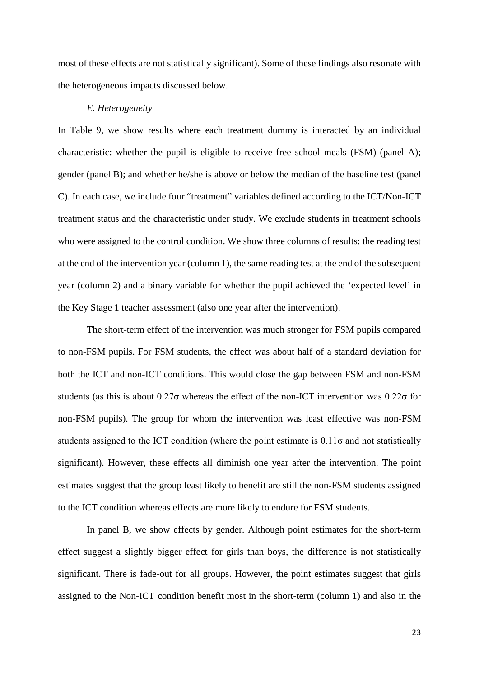most of these effects are not statistically significant). Some of these findings also resonate with the heterogeneous impacts discussed below.

### *E. Heterogeneity*

In Table 9, we show results where each treatment dummy is interacted by an individual characteristic: whether the pupil is eligible to receive free school meals (FSM) (panel A); gender (panel B); and whether he/she is above or below the median of the baseline test (panel C). In each case, we include four "treatment" variables defined according to the ICT/Non-ICT treatment status and the characteristic under study. We exclude students in treatment schools who were assigned to the control condition. We show three columns of results: the reading test at the end of the intervention year (column 1), the same reading test at the end of the subsequent year (column 2) and a binary variable for whether the pupil achieved the 'expected level' in the Key Stage 1 teacher assessment (also one year after the intervention).

The short-term effect of the intervention was much stronger for FSM pupils compared to non-FSM pupils. For FSM students, the effect was about half of a standard deviation for both the ICT and non-ICT conditions. This would close the gap between FSM and non-FSM students (as this is about 0.27σ whereas the effect of the non-ICT intervention was 0.22σ for non-FSM pupils). The group for whom the intervention was least effective was non-FSM students assigned to the ICT condition (where the point estimate is  $0.11\sigma$  and not statistically significant). However, these effects all diminish one year after the intervention. The point estimates suggest that the group least likely to benefit are still the non-FSM students assigned to the ICT condition whereas effects are more likely to endure for FSM students.

In panel B, we show effects by gender. Although point estimates for the short-term effect suggest a slightly bigger effect for girls than boys, the difference is not statistically significant. There is fade-out for all groups. However, the point estimates suggest that girls assigned to the Non-ICT condition benefit most in the short-term (column 1) and also in the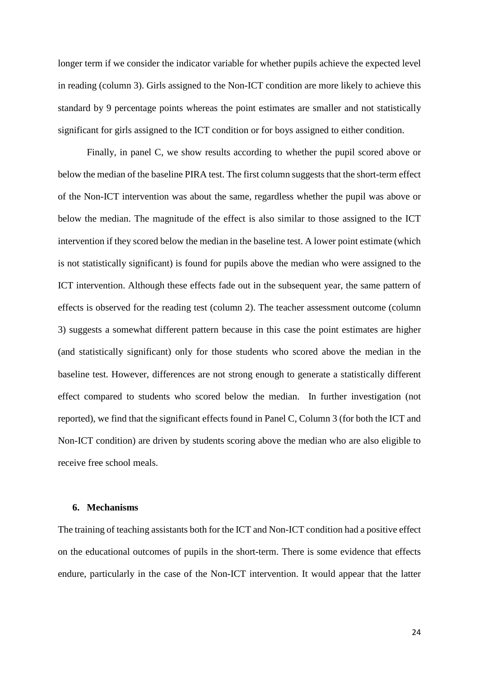longer term if we consider the indicator variable for whether pupils achieve the expected level in reading (column 3). Girls assigned to the Non-ICT condition are more likely to achieve this standard by 9 percentage points whereas the point estimates are smaller and not statistically significant for girls assigned to the ICT condition or for boys assigned to either condition.

Finally, in panel C, we show results according to whether the pupil scored above or below the median of the baseline PIRA test. The first column suggests that the short-term effect of the Non-ICT intervention was about the same, regardless whether the pupil was above or below the median. The magnitude of the effect is also similar to those assigned to the ICT intervention if they scored below the median in the baseline test. A lower point estimate (which is not statistically significant) is found for pupils above the median who were assigned to the ICT intervention. Although these effects fade out in the subsequent year, the same pattern of effects is observed for the reading test (column 2). The teacher assessment outcome (column 3) suggests a somewhat different pattern because in this case the point estimates are higher (and statistically significant) only for those students who scored above the median in the baseline test. However, differences are not strong enough to generate a statistically different effect compared to students who scored below the median. In further investigation (not reported), we find that the significant effects found in Panel C, Column 3 (for both the ICT and Non-ICT condition) are driven by students scoring above the median who are also eligible to receive free school meals.

### **6. Mechanisms**

The training of teaching assistants both for the ICT and Non-ICT condition had a positive effect on the educational outcomes of pupils in the short-term. There is some evidence that effects endure, particularly in the case of the Non-ICT intervention. It would appear that the latter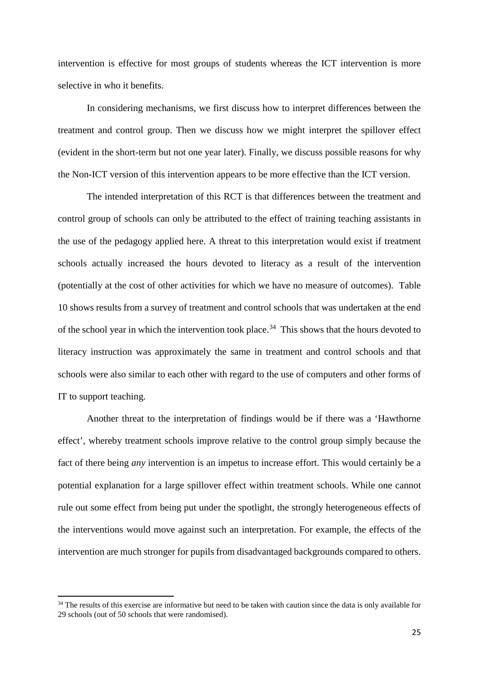intervention is effective for most groups of students whereas the ICT intervention is more selective in who it benefits.

In considering mechanisms, we first discuss how to interpret differences between the treatment and control group. Then we discuss how we might interpret the spillover effect (evident in the short-term but not one year later). Finally, we discuss possible reasons for why the Non-ICT version of this intervention appears to be more effective than the ICT version.

The intended interpretation of this RCT is that differences between the treatment and control group of schools can only be attributed to the effect of training teaching assistants in the use of the pedagogy applied here. A threat to this interpretation would exist if treatment schools actually increased the hours devoted to literacy as a result of the intervention (potentially at the cost of other activities for which we have no measure of outcomes). Table 10 shows results from a survey of treatment and control schools that was undertaken at the end of the school year in which the intervention took place.<sup>[34](#page-25-0)</sup> This shows that the hours devoted to literacy instruction was approximately the same in treatment and control schools and that schools were also similar to each other with regard to the use of computers and other forms of IT to support teaching.

Another threat to the interpretation of findings would be if there was a 'Hawthorne effect', whereby treatment schools improve relative to the control group simply because the fact of there being *any* intervention is an impetus to increase effort. This would certainly be a potential explanation for a large spillover effect within treatment schools. While one cannot rule out some effect from being put under the spotlight, the strongly heterogeneous effects of the interventions would move against such an interpretation. For example, the effects of the intervention are much stronger for pupils from disadvantaged backgrounds compared to others.

 $\overline{a}$ 

<span id="page-25-0"></span> $34$  The results of this exercise are informative but need to be taken with caution since the data is only available for 29 schools (out of 50 schools that were randomised).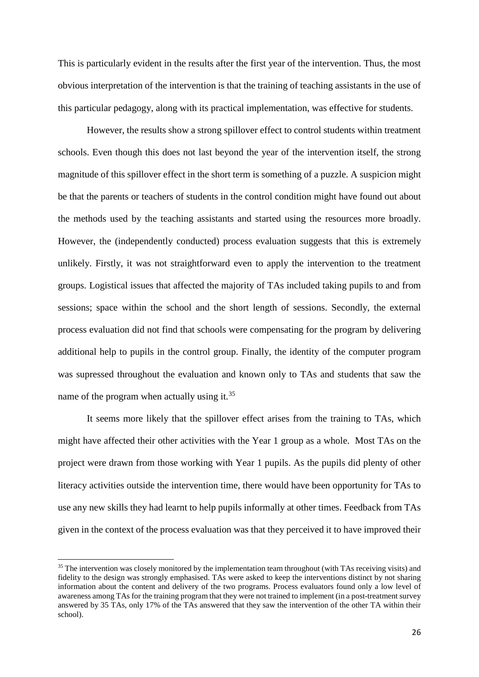This is particularly evident in the results after the first year of the intervention. Thus, the most obvious interpretation of the intervention is that the training of teaching assistants in the use of this particular pedagogy, along with its practical implementation, was effective for students.

However, the results show a strong spillover effect to control students within treatment schools. Even though this does not last beyond the year of the intervention itself, the strong magnitude of this spillover effect in the short term is something of a puzzle. A suspicion might be that the parents or teachers of students in the control condition might have found out about the methods used by the teaching assistants and started using the resources more broadly. However, the (independently conducted) process evaluation suggests that this is extremely unlikely. Firstly, it was not straightforward even to apply the intervention to the treatment groups. Logistical issues that affected the majority of TAs included taking pupils to and from sessions; space within the school and the short length of sessions. Secondly, the external process evaluation did not find that schools were compensating for the program by delivering additional help to pupils in the control group. Finally, the identity of the computer program was supressed throughout the evaluation and known only to TAs and students that saw the name of the program when actually using it.<sup>[35](#page-26-0)</sup>

It seems more likely that the spillover effect arises from the training to TAs, which might have affected their other activities with the Year 1 group as a whole. Most TAs on the project were drawn from those working with Year 1 pupils. As the pupils did plenty of other literacy activities outside the intervention time, there would have been opportunity for TAs to use any new skills they had learnt to help pupils informally at other times. Feedback from TAs given in the context of the process evaluation was that they perceived it to have improved their

**.** 

<span id="page-26-0"></span><sup>&</sup>lt;sup>35</sup> The intervention was closely monitored by the implementation team throughout (with TAs receiving visits) and fidelity to the design was strongly emphasised. TAs were asked to keep the interventions distinct by not sharing information about the content and delivery of the two programs. Process evaluators found only a low level of awareness among TAs for the training program that they were not trained to implement (in a post-treatment survey answered by 35 TAs, only 17% of the TAs answered that they saw the intervention of the other TA within their school).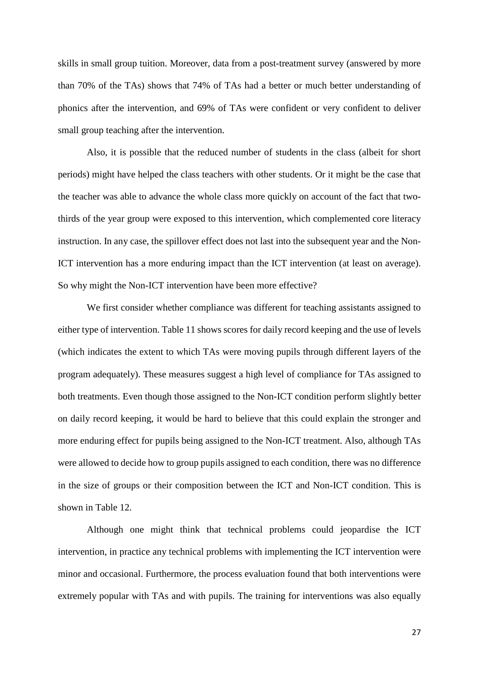skills in small group tuition. Moreover, data from a post-treatment survey (answered by more than 70% of the TAs) shows that 74% of TAs had a better or much better understanding of phonics after the intervention, and 69% of TAs were confident or very confident to deliver small group teaching after the intervention.

Also, it is possible that the reduced number of students in the class (albeit for short periods) might have helped the class teachers with other students. Or it might be the case that the teacher was able to advance the whole class more quickly on account of the fact that twothirds of the year group were exposed to this intervention, which complemented core literacy instruction. In any case, the spillover effect does not last into the subsequent year and the Non-ICT intervention has a more enduring impact than the ICT intervention (at least on average). So why might the Non-ICT intervention have been more effective?

We first consider whether compliance was different for teaching assistants assigned to either type of intervention. Table 11 shows scores for daily record keeping and the use of levels (which indicates the extent to which TAs were moving pupils through different layers of the program adequately). These measures suggest a high level of compliance for TAs assigned to both treatments. Even though those assigned to the Non-ICT condition perform slightly better on daily record keeping, it would be hard to believe that this could explain the stronger and more enduring effect for pupils being assigned to the Non-ICT treatment. Also, although TAs were allowed to decide how to group pupils assigned to each condition, there was no difference in the size of groups or their composition between the ICT and Non-ICT condition. This is shown in Table 12.

Although one might think that technical problems could jeopardise the ICT intervention, in practice any technical problems with implementing the ICT intervention were minor and occasional. Furthermore, the process evaluation found that both interventions were extremely popular with TAs and with pupils. The training for interventions was also equally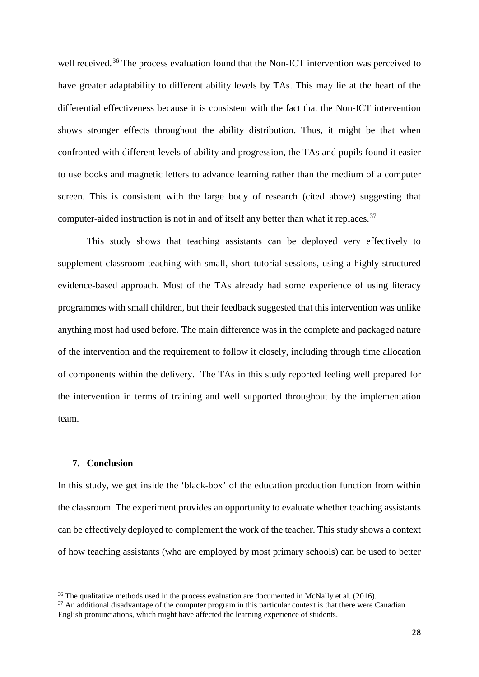well received.<sup>[36](#page-28-0)</sup> The process evaluation found that the Non-ICT intervention was perceived to have greater adaptability to different ability levels by TAs. This may lie at the heart of the differential effectiveness because it is consistent with the fact that the Non-ICT intervention shows stronger effects throughout the ability distribution. Thus, it might be that when confronted with different levels of ability and progression, the TAs and pupils found it easier to use books and magnetic letters to advance learning rather than the medium of a computer screen. This is consistent with the large body of research (cited above) suggesting that computer-aided instruction is not in and of itself any better than what it replaces.<sup>37</sup>

This study shows that teaching assistants can be deployed very effectively to supplement classroom teaching with small, short tutorial sessions, using a highly structured evidence-based approach. Most of the TAs already had some experience of using literacy programmes with small children, but their feedback suggested that this intervention was unlike anything most had used before. The main difference was in the complete and packaged nature of the intervention and the requirement to follow it closely, including through time allocation of components within the delivery. The TAs in this study reported feeling well prepared for the intervention in terms of training and well supported throughout by the implementation team.

# **7. Conclusion**

**.** 

In this study, we get inside the 'black-box' of the education production function from within the classroom. The experiment provides an opportunity to evaluate whether teaching assistants can be effectively deployed to complement the work of the teacher. This study shows a context of how teaching assistants (who are employed by most primary schools) can be used to better

<span id="page-28-0"></span> $36$  The qualitative methods used in the process evaluation are documented in McNally et al. (2016).

<span id="page-28-1"></span><sup>&</sup>lt;sup>37</sup> An additional disadvantage of the computer program in this particular context is that there were Canadian English pronunciations, which might have affected the learning experience of students.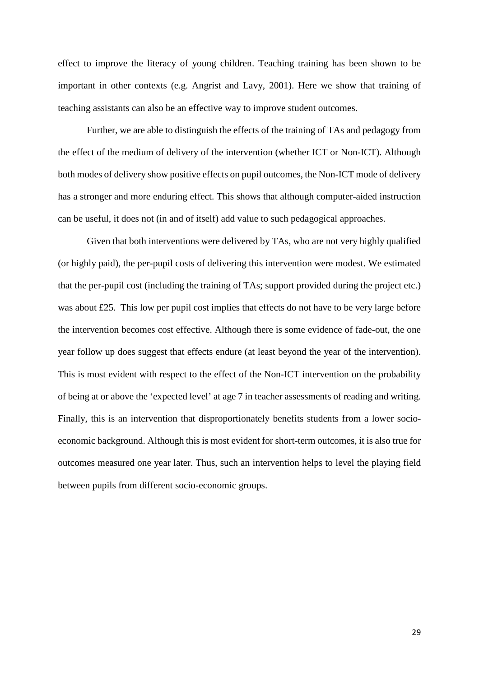effect to improve the literacy of young children. Teaching training has been shown to be important in other contexts (e.g. Angrist and Lavy, 2001). Here we show that training of teaching assistants can also be an effective way to improve student outcomes.

Further, we are able to distinguish the effects of the training of TAs and pedagogy from the effect of the medium of delivery of the intervention (whether ICT or Non-ICT). Although both modes of delivery show positive effects on pupil outcomes, the Non-ICT mode of delivery has a stronger and more enduring effect. This shows that although computer-aided instruction can be useful, it does not (in and of itself) add value to such pedagogical approaches.

Given that both interventions were delivered by TAs, who are not very highly qualified (or highly paid), the per-pupil costs of delivering this intervention were modest. We estimated that the per-pupil cost (including the training of TAs; support provided during the project etc.) was about £25. This low per pupil cost implies that effects do not have to be very large before the intervention becomes cost effective. Although there is some evidence of fade-out, the one year follow up does suggest that effects endure (at least beyond the year of the intervention). This is most evident with respect to the effect of the Non-ICT intervention on the probability of being at or above the 'expected level' at age 7 in teacher assessments of reading and writing. Finally, this is an intervention that disproportionately benefits students from a lower socioeconomic background. Although this is most evident for short-term outcomes, it is also true for outcomes measured one year later. Thus, such an intervention helps to level the playing field between pupils from different socio-economic groups.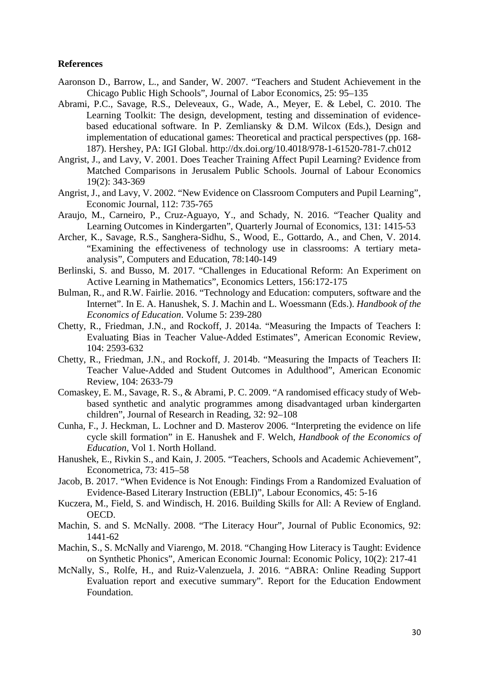# **References**

- Aaronson D., Barrow, L., and Sander, W. 2007. "Teachers and Student Achievement in the Chicago Public High Schools", Journal of Labor Economics, 25: 95–135
- Abrami, P.C., Savage, R.S., Deleveaux, G., Wade, A., Meyer, E. & Lebel, C. 2010. The Learning Toolkit: The design, development, testing and dissemination of evidencebased educational software. In P. Zemliansky & D.M. Wilcox (Eds.), Design and implementation of educational games: Theoretical and practical perspectives (pp. 168- 187). Hershey, PA: IGI Global. http://dx.doi.org/10.4018/978-1-61520-781-7.ch012
- Angrist, J., and Lavy, V. 2001. Does Teacher Training Affect Pupil Learning? Evidence from Matched Comparisons in Jerusalem Public Schools. Journal of Labour Economics 19(2): 343-369
- Angrist, J., and Lavy, V. 2002. "New Evidence on Classroom Computers and Pupil Learning", Economic Journal, 112: 735-765
- Araujo, M., Carneiro, P., Cruz-Aguayo, Y., and Schady, N. 2016. "Teacher Quality and Learning Outcomes in Kindergarten", Quarterly Journal of Economics, 131: 1415-53
- Archer, K., Savage, R.S., Sanghera-Sidhu, S., Wood, E., Gottardo, A., and Chen, V. 2014. "Examining the effectiveness of technology use in classrooms: A tertiary metaanalysis", Computers and Education, 78:140-149
- Berlinski, S. and Busso, M. 2017. "Challenges in Educational Reform: An Experiment on Active Learning in Mathematics", Economics Letters, 156:172-175
- Bulman, R., and R.W. Fairlie. 2016. "Technology and Education: computers, software and the Internet". In E. A. Hanushek, S. J. Machin and L. Woessmann (Eds.). *Handbook of the Economics of Education*. Volume 5: 239-280
- Chetty, R., Friedman, J.N., and Rockoff, J. 2014a. "Measuring the Impacts of Teachers I: Evaluating Bias in Teacher Value-Added Estimates", American Economic Review, 104: 2593-632
- Chetty, R., Friedman, J.N., and Rockoff, J. 2014b. "Measuring the Impacts of Teachers II: Teacher Value-Added and Student Outcomes in Adulthood", American Economic Review, 104: 2633-79
- Comaskey, E. M., Savage, R. S., & Abrami, P. C. 2009. "A randomised efficacy study of Webbased synthetic and analytic programmes among disadvantaged urban kindergarten children", Journal of Research in Reading, 32: 92–108
- Cunha, F., J. Heckman, L. Lochner and D. Masterov 2006. "Interpreting the evidence on life cycle skill formation" in E. Hanushek and F. Welch, *Handbook of the Economics of Education*, Vol 1. North Holland.
- Hanushek, E., Rivkin S., and Kain, J. 2005. "Teachers, Schools and Academic Achievement", Econometrica, 73: 415–58
- Jacob, B. 2017. "When Evidence is Not Enough: Findings From a Randomized Evaluation of Evidence-Based Literary Instruction (EBLI)", Labour Economics, 45: 5-16
- Kuczera, M., Field, S. and Windisch, H. 2016. Building Skills for All: A Review of England. OECD.
- Machin, S. and S. McNally. 2008. "The Literacy Hour", Journal of Public Economics, 92: 1441-62
- Machin, S., S. McNally and Viarengo, M. 2018. "Changing How Literacy is Taught: Evidence on Synthetic Phonics"*,* American Economic Journal: Economic Policy, 10(2): 217-41
- McNally, S., Rolfe, H., and Ruiz-Valenzuela, J. 2016. "ABRA: Online Reading Support Evaluation report and executive summary". Report for the Education Endowment Foundation.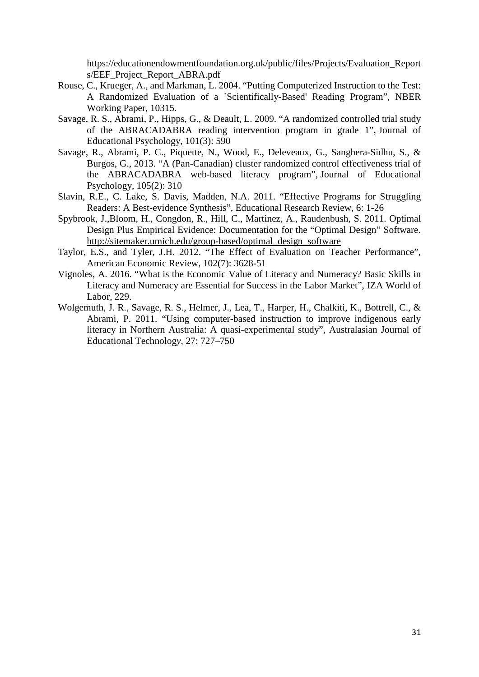https://educationendowmentfoundation.org.uk/public/files/Projects/Evaluation\_Report s/EEF\_Project\_Report\_ABRA.pdf

- Rouse, C., Krueger, A., and Markman, L. 2004. "Putting Computerized Instruction to the Test: A Randomized Evaluation of a `Scientifically-Based' Reading Program", NBER Working Paper, 10315.
- Savage, R. S., Abrami, P., Hipps, G., & Deault, L. 2009. "A randomized controlled trial study of the ABRACADABRA reading intervention program in grade 1", Journal of Educational Psychology, 101(3): 590
- Savage, R., Abrami, P. C., Piquette, N., Wood, E., Deleveaux, G., Sanghera-Sidhu, S., & Burgos, G., 2013. "A (Pan-Canadian) cluster randomized control effectiveness trial of the ABRACADABRA web-based literacy program", Journal of Educational Psychology, 105(2): 310
- Slavin, R.E., C. Lake, S. Davis, Madden, N.A. 2011. "Effective Programs for Struggling Readers: A Best-evidence Synthesis", Educational Research Review, 6: 1-26
- Spybrook, J.,Bloom, H., Congdon, R., Hill, C., Martinez, A., Raudenbush, S. 2011. Optimal Design Plus Empirical Evidence: Documentation for the "Optimal Design" Software. [http://sitemaker.umich.edu/group-based/optimal\\_design\\_software](http://sitemaker.umich.edu/group-based/optimal_design_software)
- Taylor, E.S., and Tyler, J.H. 2012. "The Effect of Evaluation on Teacher Performance", American Economic Review*,* 102(7): 3628-51
- Vignoles, A. 2016. "What is the Economic Value of Literacy and Numeracy? Basic Skills in Literacy and Numeracy are Essential for Success in the Labor Market", IZA World of Labor, 229.
- Wolgemuth, J. R., Savage, R. S., Helmer, J., Lea, T., Harper, H., Chalkiti, K., Bottrell, C., & Abrami, P. 2011. "Using computer-based instruction to improve indigenous early literacy in Northern Australia: A quasi-experimental study", Australasian Journal of Educational Technolog*y*, 27: 727–750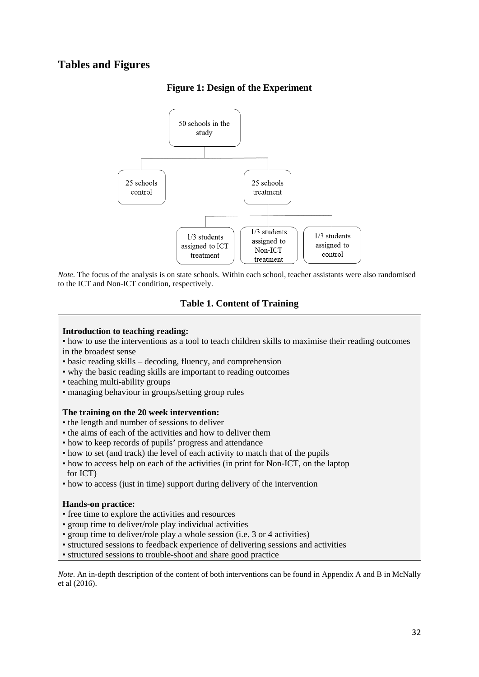# **Tables and Figures**



# **Figure 1: Design of the Experiment**

*Note*. The focus of the analysis is on state schools. Within each school, teacher assistants were also randomised to the ICT and Non-ICT condition, respectively.

# **Table 1. Content of Training**

### **Introduction to teaching reading:**

• how to use the interventions as a tool to teach children skills to maximise their reading outcomes in the broadest sense

- basic reading skills decoding, fluency, and comprehension
- why the basic reading skills are important to reading outcomes
- teaching multi-ability groups
- managing behaviour in groups/setting group rules

### **The training on the 20 week intervention:**

- the length and number of sessions to deliver
- the aims of each of the activities and how to deliver them
- how to keep records of pupils' progress and attendance
- how to set (and track) the level of each activity to match that of the pupils
- how to access help on each of the activities (in print for Non-ICT, on the laptop for ICT)
- how to access (just in time) support during delivery of the intervention

### **Hands-on practice:**

- free time to explore the activities and resources
- group time to deliver/role play individual activities
- group time to deliver/role play a whole session (i.e. 3 or 4 activities)
- structured sessions to feedback experience of delivering sessions and activities
- structured sessions to trouble-shoot and share good practice

*Note*. An in-depth description of the content of both interventions can be found in Appendix A and B in McNally et al (2016).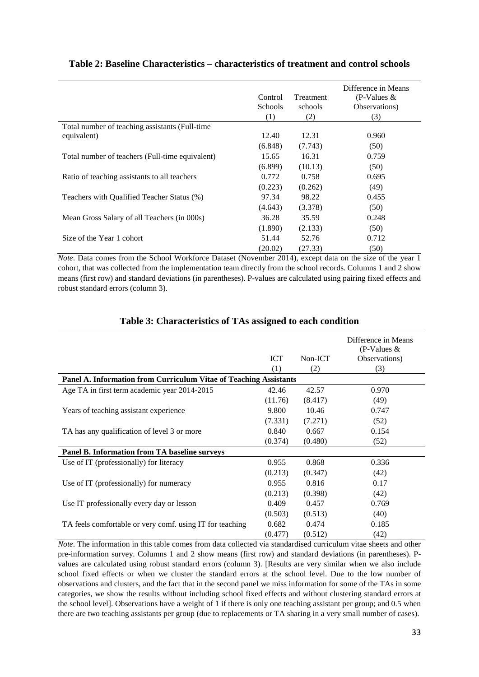|                                                 | Control<br><b>Schools</b><br>(1) | <b>Treatment</b><br>schools<br>(2) | Difference in Means<br>$(P-Values &$<br>Observations)<br>(3) |
|-------------------------------------------------|----------------------------------|------------------------------------|--------------------------------------------------------------|
| Total number of teaching assistants (Full-time  |                                  |                                    |                                                              |
| equivalent)                                     | 12.40                            | 12.31                              | 0.960                                                        |
|                                                 | (6.848)                          | (7.743)                            | (50)                                                         |
| Total number of teachers (Full-time equivalent) | 15.65                            | 16.31                              | 0.759                                                        |
|                                                 | (6.899)                          | (10.13)                            | (50)                                                         |
| Ratio of teaching assistants to all teachers    | 0.772                            | 0.758                              | 0.695                                                        |
|                                                 | (0.223)                          | (0.262)                            | (49)                                                         |
| Teachers with Qualified Teacher Status (%)      | 97.34                            | 98.22                              | 0.455                                                        |
|                                                 | (4.643)                          | (3.378)                            | (50)                                                         |
| Mean Gross Salary of all Teachers (in 000s)     | 36.28                            | 35.59                              | 0.248                                                        |
|                                                 | (1.890)                          | (2.133)                            | (50)                                                         |
| Size of the Year 1 cohort                       | 51.44                            | 52.76                              | 0.712                                                        |
|                                                 | (20.02)                          | (27.33)                            | (50)                                                         |

# **Table 2: Baseline Characteristics – characteristics of treatment and control schools**

*Note*. Data comes from the School Workforce Dataset (November 2014), except data on the size of the year 1 cohort, that was collected from the implementation team directly from the school records. Columns 1 and 2 show means (first row) and standard deviations (in parentheses). P-values are calculated using pairing fixed effects and robust standard errors (column 3).

|                                                                   | <b>ICT</b><br>(1) | Non-ICT<br>(2) | Difference in Means<br>(P-Values $&$<br>Observations)<br>(3) |  |  |  |  |
|-------------------------------------------------------------------|-------------------|----------------|--------------------------------------------------------------|--|--|--|--|
| Panel A. Information from Curriculum Vitae of Teaching Assistants |                   |                |                                                              |  |  |  |  |
| Age TA in first term academic year 2014-2015                      | 42.46             | 42.57          | 0.970                                                        |  |  |  |  |
|                                                                   | (11.76)           | (8.417)        | (49)                                                         |  |  |  |  |
| Years of teaching assistant experience                            | 9.800             | 10.46          | 0.747                                                        |  |  |  |  |
|                                                                   | (7.331)           | (7.271)        | (52)                                                         |  |  |  |  |
| TA has any qualification of level 3 or more                       | 0.840             | 0.667          | 0.154                                                        |  |  |  |  |
|                                                                   | (0.374)           | (0.480)        | (52)                                                         |  |  |  |  |
| Panel B. Information from TA baseline surveys                     |                   |                |                                                              |  |  |  |  |
| Use of IT (professionally) for literacy                           | 0.955             | 0.868          | 0.336                                                        |  |  |  |  |
|                                                                   | (0.213)           | (0.347)        | (42)                                                         |  |  |  |  |
| Use of IT (professionally) for numeracy                           | 0.955             | 0.816          | 0.17                                                         |  |  |  |  |
|                                                                   | (0.213)           | (0.398)        | (42)                                                         |  |  |  |  |
| Use IT professionally every day or lesson                         | 0.409             | 0.457          | 0.769                                                        |  |  |  |  |
|                                                                   | (0.503)           | (0.513)        | (40)                                                         |  |  |  |  |
| TA feels comfortable or very comf. using IT for teaching          | 0.682             | 0.474          | 0.185                                                        |  |  |  |  |
|                                                                   | (0.477)           | (0.512)        | (42)                                                         |  |  |  |  |

# **Table 3: Characteristics of TAs assigned to each condition**

*Note*. The information in this table comes from data collected via standardised curriculum vitae sheets and other pre-information survey. Columns 1 and 2 show means (first row) and standard deviations (in parentheses). Pvalues are calculated using robust standard errors (column 3). [Results are very similar when we also include school fixed effects or when we cluster the standard errors at the school level. Due to the low number of observations and clusters, and the fact that in the second panel we miss information for some of the TAs in some categories, we show the results without including school fixed effects and without clustering standard errors at the school level]. Observations have a weight of 1 if there is only one teaching assistant per group; and 0.5 when there are two teaching assistants per group (due to replacements or TA sharing in a very small number of cases).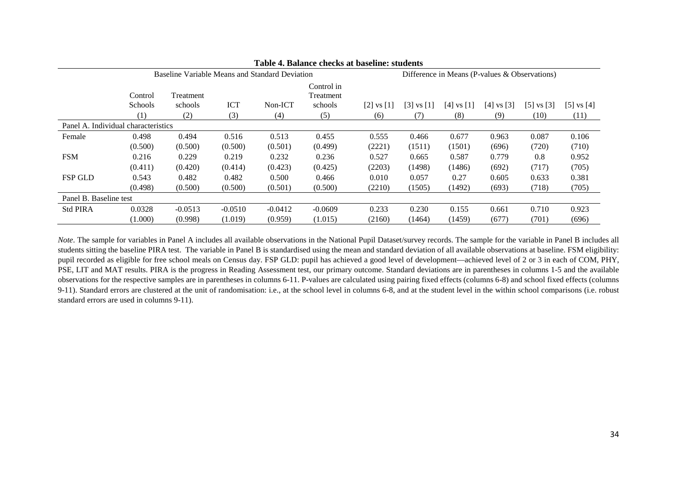| Table 4. Balance checks at baseline: students |                                                |           |            |           |                                                 |              |              |                |                |                |                |
|-----------------------------------------------|------------------------------------------------|-----------|------------|-----------|-------------------------------------------------|--------------|--------------|----------------|----------------|----------------|----------------|
|                                               | Baseline Variable Means and Standard Deviation |           |            |           | Difference in Means (P-values $&$ Observations) |              |              |                |                |                |                |
|                                               | Control                                        | Treatment |            |           | Control in<br>Treatment                         |              |              |                |                |                |                |
|                                               | Schools                                        | schools   | <b>ICT</b> | Non-ICT   | schools                                         | [2] vs $[1]$ | [3] vs $[1]$ | $[4]$ vs $[1]$ | $[4]$ vs $[3]$ | $[5]$ vs $[3]$ | $[5]$ vs $[4]$ |
|                                               | (1)                                            | (2)       | (3)        | (4)       | (5)                                             | (6)          | (7)          | (8)            | (9)            | (10)           | (11)           |
| Panel A. Individual characteristics           |                                                |           |            |           |                                                 |              |              |                |                |                |                |
| Female                                        | 0.498                                          | 0.494     | 0.516      | 0.513     | 0.455                                           | 0.555        | 0.466        | 0.677          | 0.963          | 0.087          | 0.106          |
|                                               | (0.500)                                        | (0.500)   | (0.500)    | (0.501)   | (0.499)                                         | (2221)       | (1511)       | (1501)         | (696)          | (720)          | (710)          |
| <b>FSM</b>                                    | 0.216                                          | 0.229     | 0.219      | 0.232     | 0.236                                           | 0.527        | 0.665        | 0.587          | 0.779          | 0.8            | 0.952          |
|                                               | (0.411)                                        | (0.420)   | (0.414)    | (0.423)   | (0.425)                                         | (2203)       | (1498)       | (1486)         | (692)          | (717)          | (705)          |
| <b>FSP GLD</b>                                | 0.543                                          | 0.482     | 0.482      | 0.500     | 0.466                                           | 0.010        | 0.057        | 0.27           | 0.605          | 0.633          | 0.381          |
|                                               | (0.498)                                        | (0.500)   | (0.500)    | (0.501)   | (0.500)                                         | (2210)       | (1505)       | (1492)         | (693)          | (718)          | (705)          |
| Panel B. Baseline test                        |                                                |           |            |           |                                                 |              |              |                |                |                |                |
| <b>Std PIRA</b>                               | 0.0328                                         | $-0.0513$ | $-0.0510$  | $-0.0412$ | $-0.0609$                                       | 0.233        | 0.230        | 0.155          | 0.661          | 0.710          | 0.923          |
|                                               | (1.000)                                        | (0.998)   | (1.019)    | (0.959)   | (1.015)                                         | (2160)       | (1464)       | (1459)         | (677)          | (701)          | (696)          |

*Note*. The sample for variables in Panel A includes all available observations in the National Pupil Dataset/survey records. The sample for the variable in Panel B includes all students sitting the baseline PIRA test. The variable in Panel B is standardised using the mean and standard deviation of all available observations at baseline. FSM eligibility: pupil recorded as eligible for free school meals on Census day. FSP GLD: pupil has achieved a good level of development—achieved level of 2 or 3 in each of COM, PHY, PSE, LIT and MAT results. PIRA is the progress in Reading Assessment test, our primary outcome. Standard deviations are in parentheses in columns 1-5 and the available observations for the respective samples are in parentheses in columns 6-11. P-values are calculated using pairing fixed effects (columns 6-8) and school fixed effects (columns 9-11). Standard errors are clustered at the unit of randomisation: i.e., at the school level in columns 6-8, and at the student level in the within school comparisons (i.e. robust standard errors are used in columns 9-11).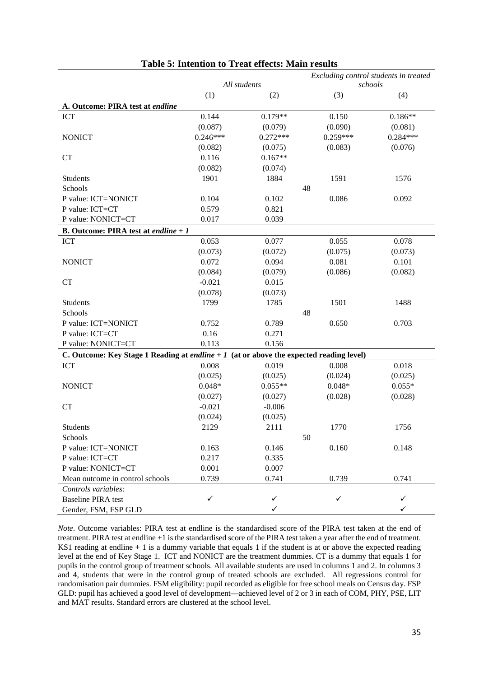|                                                                                                 | Excluding control students in treated |              |            |            |
|-------------------------------------------------------------------------------------------------|---------------------------------------|--------------|------------|------------|
|                                                                                                 |                                       | All students |            | schools    |
|                                                                                                 | (1)                                   | (2)          | (3)        | (4)        |
| A. Outcome: PIRA test at endline                                                                |                                       |              |            |            |
| <b>ICT</b>                                                                                      | 0.144                                 | $0.179**$    | 0.150      | $0.186**$  |
|                                                                                                 | (0.087)                               | (0.079)      | (0.090)    | (0.081)    |
| <b>NONICT</b>                                                                                   | $0.246***$                            | $0.272***$   | $0.259***$ | $0.284***$ |
|                                                                                                 | (0.082)                               | (0.075)      | (0.083)    | (0.076)    |
| CT                                                                                              | 0.116                                 | $0.167**$    |            |            |
|                                                                                                 | (0.082)                               | (0.074)      |            |            |
| Students                                                                                        | 1901                                  | 1884         | 1591       | 1576       |
| Schools                                                                                         |                                       |              | 48         |            |
| P value: ICT=NONICT                                                                             | 0.104                                 | 0.102        | 0.086      | 0.092      |
| P value: ICT=CT                                                                                 | 0.579                                 | 0.821        |            |            |
| P value: NONICT=CT                                                                              | 0.017                                 | 0.039        |            |            |
| <b>B.</b> Outcome: PIRA test at endline $+1$                                                    |                                       |              |            |            |
| ICT                                                                                             | 0.053                                 | 0.077        | 0.055      | 0.078      |
|                                                                                                 | (0.073)                               | (0.072)      | (0.075)    | (0.073)    |
| <b>NONICT</b>                                                                                   | 0.072                                 | 0.094        | 0.081      | 0.101      |
|                                                                                                 | (0.084)                               | (0.079)      | (0.086)    | (0.082)    |
| <b>CT</b>                                                                                       | $-0.021$                              | 0.015        |            |            |
|                                                                                                 | (0.078)                               | (0.073)      |            |            |
| Students                                                                                        | 1799                                  | 1785         | 1501       | 1488       |
| Schools                                                                                         |                                       |              | 48         |            |
| P value: ICT=NONICT                                                                             | 0.752                                 | 0.789        | 0.650      | 0.703      |
| P value: ICT=CT                                                                                 | 0.16                                  | 0.271        |            |            |
| P value: NONICT=CT                                                                              | 0.113                                 | 0.156        |            |            |
| C. Outcome: Key Stage 1 Reading at <i>endline</i> $+1$ (at or above the expected reading level) |                                       |              |            |            |
| <b>ICT</b>                                                                                      | 0.008                                 | 0.019        | 0.008      | 0.018      |
|                                                                                                 | (0.025)                               | (0.025)      | (0.024)    | (0.025)    |
| <b>NONICT</b>                                                                                   | $0.048*$                              | $0.055**$    | $0.048*$   | $0.055*$   |
|                                                                                                 | (0.027)                               | (0.027)      | (0.028)    | (0.028)    |
| <b>CT</b>                                                                                       | $-0.021$                              | $-0.006$     |            |            |
|                                                                                                 | (0.024)                               | (0.025)      |            |            |
| Students                                                                                        | 2129                                  | 2111         | 1770       | 1756       |
| Schools                                                                                         |                                       |              | 50         |            |
| P value: ICT=NONICT                                                                             | 0.163                                 | 0.146        | 0.160      | 0.148      |
| P value: ICT=CT                                                                                 | 0.217                                 | 0.335        |            |            |
| P value: NONICT=CT                                                                              | 0.001                                 | 0.007        |            |            |
| Mean outcome in control schools                                                                 | 0.739                                 | 0.741        | 0.739      | 0.741      |
| Controls variables:                                                                             |                                       |              |            |            |
| <b>Baseline PIRA test</b>                                                                       | ✓                                     | ✓            | ✓          | ✓          |
| Gender, FSM, FSP GLD                                                                            |                                       | $\checkmark$ |            | ✓          |

# **Table 5: Intention to Treat effects: Main results**

*Note*. Outcome variables: PIRA test at endline is the standardised score of the PIRA test taken at the end of treatment. PIRA test at endline +1 is the standardised score of the PIRA test taken a year after the end of treatment. KS1 reading at endline  $+1$  is a dummy variable that equals 1 if the student is at or above the expected reading level at the end of Key Stage 1. ICT and NONICT are the treatment dummies. CT is a dummy that equals 1 for pupils in the control group of treatment schools. All available students are used in columns 1 and 2. In columns 3 and 4, students that were in the control group of treated schools are excluded. All regressions control for randomisation pair dummies. FSM eligibility: pupil recorded as eligible for free school meals on Census day. FSP GLD: pupil has achieved a good level of development—achieved level of 2 or 3 in each of COM, PHY, PSE, LIT and MAT results. Standard errors are clustered at the school level.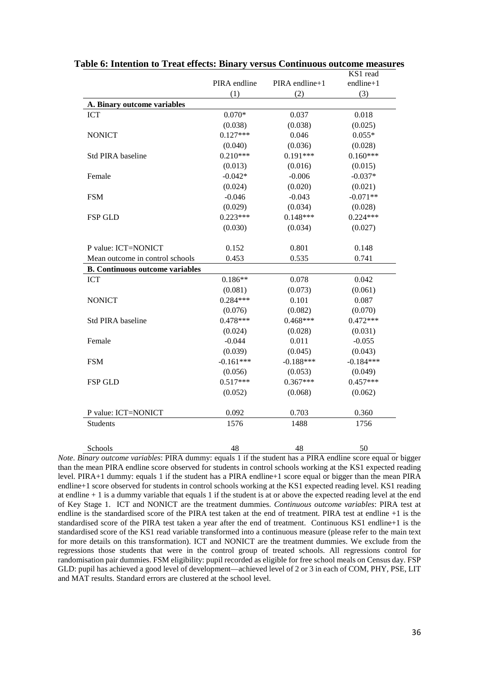|                                        | PIRA endline | PIRA endline+1 | KS1 read<br>endline+1 |
|----------------------------------------|--------------|----------------|-----------------------|
|                                        | (1)          | (2)            | (3)                   |
| A. Binary outcome variables            |              |                |                       |
| <b>ICT</b>                             | $0.070*$     | 0.037          | 0.018                 |
|                                        | (0.038)      | (0.038)        | (0.025)               |
| <b>NONICT</b>                          | $0.127***$   | 0.046          | $0.055*$              |
|                                        | (0.040)      | (0.036)        | (0.028)               |
| <b>Std PIRA baseline</b>               | $0.210***$   | $0.191***$     | $0.160***$            |
|                                        | (0.013)      | (0.016)        | (0.015)               |
| Female                                 | $-0.042*$    | $-0.006$       | $-0.037*$             |
|                                        | (0.024)      | (0.020)        | (0.021)               |
| <b>FSM</b>                             | $-0.046$     | $-0.043$       | $-0.071**$            |
|                                        | (0.029)      | (0.034)        | (0.028)               |
| <b>FSP GLD</b>                         | $0.223***$   | $0.148***$     | $0.224***$            |
|                                        | (0.030)      | (0.034)        | (0.027)               |
| P value: ICT=NONICT                    | 0.152        | 0.801          | 0.148                 |
| Mean outcome in control schools        | 0.453        | 0.535          | 0.741                 |
| <b>B. Continuous outcome variables</b> |              |                |                       |
| <b>ICT</b>                             | $0.186**$    | 0.078          | 0.042                 |
|                                        | (0.081)      | (0.073)        | (0.061)               |
| <b>NONICT</b>                          | $0.284***$   | 0.101          | 0.087                 |
|                                        | (0.076)      | (0.082)        | (0.070)               |
| Std PIRA baseline                      | $0.478***$   | $0.468***$     | $0.472***$            |
|                                        | (0.024)      | (0.028)        | (0.031)               |
| Female                                 | $-0.044$     | 0.011          | $-0.055$              |
|                                        | (0.039)      | (0.045)        | (0.043)               |
| <b>FSM</b>                             | $-0.161***$  | $-0.188***$    | $-0.184***$           |
|                                        | (0.056)      | (0.053)        | (0.049)               |
| <b>FSP GLD</b>                         | $0.517***$   | $0.367***$     | $0.457***$            |
|                                        | (0.052)      | (0.068)        | (0.062)               |
| P value: ICT=NONICT                    | 0.092        | 0.703          | 0.360                 |
| <b>Students</b>                        | 1576         | 1488           | 1756                  |
| Schools                                | 48           | 48             | 50                    |

# **Table 6: Intention to Treat effects: Binary versus Continuous outcome measures**

*Note*. *Binary outcome variables*: PIRA dummy: equals 1 if the student has a PIRA endline score equal or bigger than the mean PIRA endline score observed for students in control schools working at the KS1 expected reading level. PIRA+1 dummy: equals 1 if the student has a PIRA endline+1 score equal or bigger than the mean PIRA endline+1 score observed for students in control schools working at the KS1 expected reading level. KS1 reading at endline  $+1$  is a dummy variable that equals 1 if the student is at or above the expected reading level at the end of Key Stage 1. ICT and NONICT are the treatment dummies. *Continuous outcome variables*: PIRA test at endline is the standardised score of the PIRA test taken at the end of treatment. PIRA test at endline +1 is the standardised score of the PIRA test taken a year after the end of treatment. Continuous KS1 endline+1 is the standardised score of the KS1 read variable transformed into a continuous measure (please refer to the main text for more details on this transformation). ICT and NONICT are the treatment dummies. We exclude from the regressions those students that were in the control group of treated schools. All regressions control for randomisation pair dummies. FSM eligibility: pupil recorded as eligible for free school meals on Census day. FSP GLD: pupil has achieved a good level of development—achieved level of 2 or 3 in each of COM, PHY, PSE, LIT and MAT results. Standard errors are clustered at the school level.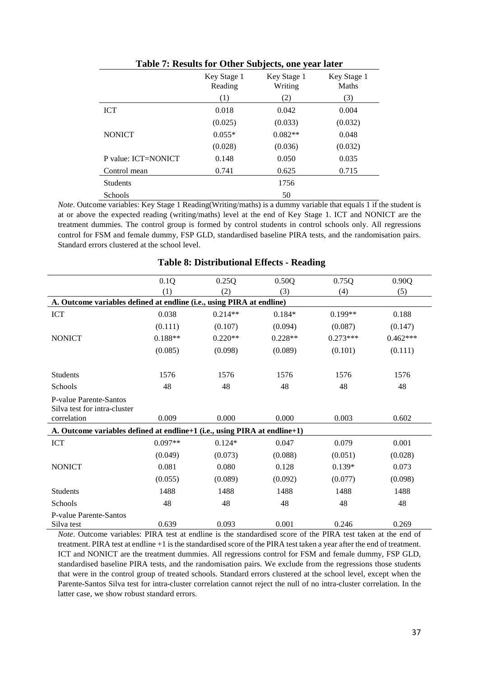| Table 7: Results for Other Subjects, one year later |                        |                        |                             |  |  |
|-----------------------------------------------------|------------------------|------------------------|-----------------------------|--|--|
|                                                     | Key Stage 1<br>Reading | Key Stage 1<br>Writing | Key Stage 1<br><b>Maths</b> |  |  |
|                                                     | (1)                    | (2)                    | (3)                         |  |  |
| <b>ICT</b>                                          | 0.018                  | 0.042                  | 0.004                       |  |  |
|                                                     | (0.025)                | (0.033)                | (0.032)                     |  |  |
| <b>NONICT</b>                                       | $0.055*$               | $0.082**$              | 0.048                       |  |  |
|                                                     | (0.028)                | (0.036)                | (0.032)                     |  |  |
| P value: ICT=NONICT                                 | 0.148                  | 0.050                  | 0.035                       |  |  |
| Control mean                                        | 0.741                  | 0.625                  | 0.715                       |  |  |
| <b>Students</b>                                     |                        | 1756                   |                             |  |  |
| <b>Schools</b>                                      |                        | 50                     |                             |  |  |

*Note*. Outcome variables: Key Stage 1 Reading(Writing/maths) is a dummy variable that equals 1 if the student is at or above the expected reading (writing/maths) level at the end of Key Stage 1. ICT and NONICT are the treatment dummies. The control group is formed by control students in control schools only. All regressions control for FSM and female dummy, FSP GLD, standardised baseline PIRA tests, and the randomisation pairs. Standard errors clustered at the school level.

|                                                                           | 0.1Q      | 0.25Q     | 0.50Q     | 0.75Q      | 0.90Q      |
|---------------------------------------------------------------------------|-----------|-----------|-----------|------------|------------|
|                                                                           | (1)       | (2)       | (3)       | (4)        | (5)        |
| A. Outcome variables defined at endline (i.e., using PIRA at endline)     |           |           |           |            |            |
| <b>ICT</b>                                                                | 0.038     | $0.214**$ | $0.184*$  | $0.199**$  | 0.188      |
|                                                                           | (0.111)   | (0.107)   | (0.094)   | (0.087)    | (0.147)    |
| <b>NONICT</b>                                                             | $0.188**$ | $0.220**$ | $0.228**$ | $0.273***$ | $0.462***$ |
|                                                                           | (0.085)   | (0.098)   | (0.089)   | (0.101)    | (0.111)    |
| <b>Students</b>                                                           | 1576      | 1576      | 1576      | 1576       | 1576       |
| Schools                                                                   | 48        | 48        | 48        | 48         | 48         |
| P-value Parente-Santos<br>Silva test for intra-cluster                    |           |           |           |            |            |
| correlation                                                               | 0.009     | 0.000     | 0.000     | 0.003      | 0.602      |
| A. Outcome variables defined at endline+1 (i.e., using PIRA at endline+1) |           |           |           |            |            |
| <b>ICT</b>                                                                | $0.097**$ | $0.124*$  | 0.047     | 0.079      | 0.001      |
|                                                                           | (0.049)   | (0.073)   | (0.088)   | (0.051)    | (0.028)    |
| <b>NONICT</b>                                                             | 0.081     | 0.080     | 0.128     | $0.139*$   | 0.073      |
|                                                                           | (0.055)   | (0.089)   | (0.092)   | (0.077)    | (0.098)    |
| <b>Students</b>                                                           | 1488      | 1488      | 1488      | 1488       | 1488       |
| <b>Schools</b>                                                            | 48        | 48        | 48        | 48         | 48         |
| P-value Parente-Santos                                                    |           |           |           |            |            |
| Silva test                                                                | 0.639     | 0.093     | 0.001     | 0.246      | 0.269      |

### **Table 8: Distributional Effects - Reading**

*Note*. Outcome variables: PIRA test at endline is the standardised score of the PIRA test taken at the end of treatment. PIRA test at endline +1 is the standardised score of the PIRA test taken a year after the end of treatment. ICT and NONICT are the treatment dummies. All regressions control for FSM and female dummy, FSP GLD, standardised baseline PIRA tests, and the randomisation pairs. We exclude from the regressions those students that were in the control group of treated schools. Standard errors clustered at the school level, except when the Parente-Santos Silva test for intra-cluster correlation cannot reject the null of no intra-cluster correlation. In the latter case, we show robust standard errors.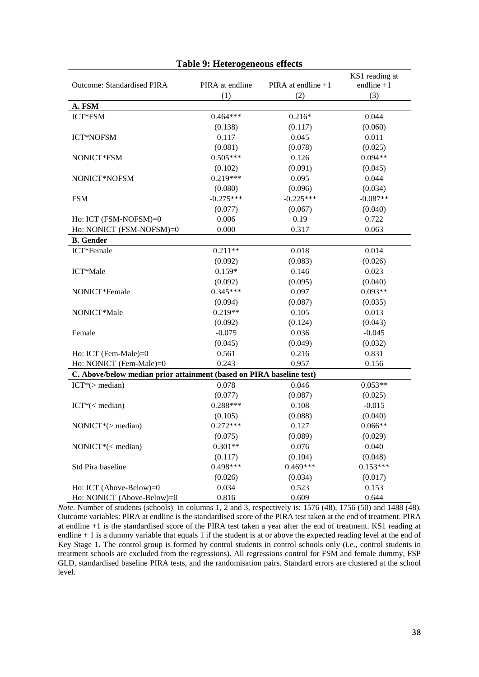| <b>Outcome: Standardised PIRA</b>                                    | PIRA at endline | PIRA at endline +1 | KS1 reading at<br>endline $+1$ |
|----------------------------------------------------------------------|-----------------|--------------------|--------------------------------|
|                                                                      | (1)             | (2)                | (3)                            |
| A. FSM                                                               |                 |                    |                                |
| ICT*FSM                                                              | $0.464***$      | $0.216*$           | 0.044                          |
|                                                                      | (0.138)         | (0.117)            | (0.060)                        |
| ICT*NOFSM                                                            | 0.117           | 0.045              | 0.011                          |
|                                                                      | (0.081)         | (0.078)            | (0.025)                        |
| NONICT*FSM                                                           | $0.505***$      | 0.126              | $0.094**$                      |
|                                                                      | (0.102)         | (0.091)            | (0.045)                        |
| NONICT*NOFSM                                                         | $0.219***$      | 0.095              | 0.044                          |
|                                                                      | (0.080)         | (0.096)            | (0.034)                        |
| <b>FSM</b>                                                           | $-0.275***$     | $-0.225***$        | $-0.087**$                     |
|                                                                      | (0.077)         | (0.067)            | (0.040)                        |
| Ho: ICT (FSM-NOFSM)=0                                                | 0.006           | 0.19               | 0.722                          |
| Ho: NONICT (FSM-NOFSM)=0                                             | 0.000           | 0.317              | 0.063                          |
| <b>B.</b> Gender                                                     |                 |                    |                                |
| ICT*Female                                                           | $0.211**$       | 0.018              | 0.014                          |
|                                                                      | (0.092)         | (0.083)            | (0.026)                        |
| ICT*Male                                                             | $0.159*$        | 0.146              | 0.023                          |
|                                                                      | (0.092)         | (0.095)            | (0.040)                        |
| NONICT*Female                                                        | $0.345***$      | 0.097              | $0.093**$                      |
|                                                                      | (0.094)         | (0.087)            | (0.035)                        |
| NONICT*Male                                                          | $0.219**$       | 0.105              | 0.013                          |
|                                                                      | (0.092)         | (0.124)            | (0.043)                        |
| Female                                                               | $-0.075$        | 0.036              | $-0.045$                       |
|                                                                      | (0.045)         | (0.049)            | (0.032)                        |
| Ho: ICT (Fem-Male)=0                                                 | 0.561           | 0.216              | 0.831                          |
| Ho: NONICT (Fem-Male)=0                                              | 0.243           | 0.957              | 0.156                          |
| C. Above/below median prior attainment (based on PIRA baseline test) |                 |                    |                                |
| $ICT*(>median)$                                                      | 0.078           | 0.046              | $0.053**$                      |
|                                                                      | (0.077)         | (0.087)            | (0.025)                        |
| $ICT*(< median)$                                                     | $0.288***$      | 0.108              | $-0.015$                       |
|                                                                      | (0.105)         | (0.088)            | (0.040)                        |
| NONICT*(> median)                                                    | $0.272***$      | 0.127              | $0.066**$                      |
|                                                                      | (0.075)         | (0.089)            | (0.029)                        |
| NONICT*(< median)                                                    | $0.301**$       | 0.076              | 0.040                          |
|                                                                      | (0.117)         | (0.104)            | (0.048)                        |
| Std Pira baseline                                                    | $0.498***$      | $0.469***$         | $0.153***$                     |
|                                                                      | (0.026)         | (0.034)            | (0.017)                        |
| Ho: ICT (Above-Below)=0                                              | 0.034           | 0.523              | 0.153                          |
| Ho: NONICT (Above-Below)=0                                           | 0.816           | 0.609              | 0.644                          |

### **Table 9: Heterogeneous effects**

*Note*. Number of students (schools) in columns 1, 2 and 3, respectively is: 1576 (48), 1756 (50) and 1488 (48). Outcome variables: PIRA at endline is the standardised score of the PIRA test taken at the end of treatment. PIRA at endline +1 is the standardised score of the PIRA test taken a year after the end of treatment. KS1 reading at endline + 1 is a dummy variable that equals 1 if the student is at or above the expected reading level at the end of Key Stage 1. The control group is formed by control students in control schools only (i.e., control students in treatment schools are excluded from the regressions). All regressions control for FSM and female dummy, FSP GLD, standardised baseline PIRA tests, and the randomisation pairs. Standard errors are clustered at the school level.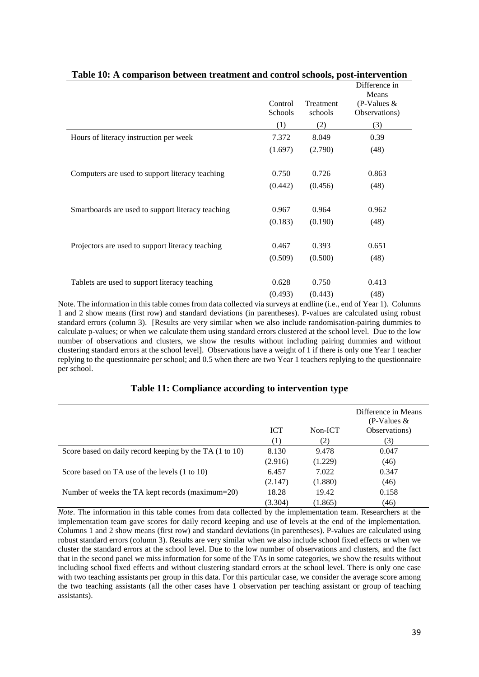|                                                   |                    |                      | Difference in                           |
|---------------------------------------------------|--------------------|----------------------|-----------------------------------------|
|                                                   | Control<br>Schools | Treatment<br>schools | Means<br>(P-Values $&$<br>Observations) |
|                                                   | (1)                | (2)                  | (3)                                     |
| Hours of literacy instruction per week            | 7.372              | 8.049                | 0.39                                    |
|                                                   | (1.697)            | (2.790)              | (48)                                    |
|                                                   |                    |                      |                                         |
| Computers are used to support literacy teaching   | 0.750              | 0.726                | 0.863                                   |
|                                                   | (0.442)            | (0.456)              | (48)                                    |
|                                                   |                    |                      |                                         |
| Smartboards are used to support literacy teaching | 0.967              | 0.964                | 0.962                                   |
|                                                   | (0.183)            | (0.190)              | (48)                                    |
|                                                   |                    |                      |                                         |
| Projectors are used to support literacy teaching  | 0.467              | 0.393                | 0.651                                   |
|                                                   | (0.509)            | (0.500)              | (48)                                    |
|                                                   |                    |                      |                                         |
| Tablets are used to support literacy teaching     | 0.628              | 0.750                | 0.413                                   |
|                                                   | (0.493)            | (0.443)              | (48)                                    |

**Table 10: A comparison between treatment and control schools, post-intervention**

Note. The information in this table comes from data collected via surveys at endline (i.e., end of Year 1). Columns 1 and 2 show means (first row) and standard deviations (in parentheses). P-values are calculated using robust standard errors (column 3). [Results are very similar when we also include randomisation-pairing dummies to calculate p-values; or when we calculate them using standard errors clustered at the school level. Due to the low number of observations and clusters, we show the results without including pairing dummies and without clustering standard errors at the school level]. Observations have a weight of 1 if there is only one Year 1 teacher replying to the questionnaire per school; and 0.5 when there are two Year 1 teachers replying to the questionnaire per school.

|                                                         | <b>ICT</b> | Non-ICT | Difference in Means<br>(P-Values $&$<br>Observations) |
|---------------------------------------------------------|------------|---------|-------------------------------------------------------|
|                                                         | (1)        | (2)     | (3)                                                   |
| Score based on daily record keeping by the TA (1 to 10) | 8.130      | 9.478   | 0.047                                                 |
|                                                         | (2.916)    | (1.229) | (46)                                                  |
| Score based on TA use of the levels (1 to 10)           | 6.457      | 7.022   | 0.347                                                 |
|                                                         | (2.147)    | (1.880) | (46)                                                  |
| Number of weeks the TA kept records (maximum=20)        | 18.28      | 19.42   | 0.158                                                 |
|                                                         | (3.304)    | (1.865) | (46)                                                  |

### **Table 11: Compliance according to intervention type**

*Note*. The information in this table comes from data collected by the implementation team. Researchers at the implementation team gave scores for daily record keeping and use of levels at the end of the implementation. Columns 1 and 2 show means (first row) and standard deviations (in parentheses). P-values are calculated using robust standard errors (column 3). Results are very similar when we also include school fixed effects or when we cluster the standard errors at the school level. Due to the low number of observations and clusters, and the fact that in the second panel we miss information for some of the TAs in some categories, we show the results without including school fixed effects and without clustering standard errors at the school level. There is only one case with two teaching assistants per group in this data. For this particular case, we consider the average score among the two teaching assistants (all the other cases have 1 observation per teaching assistant or group of teaching assistants).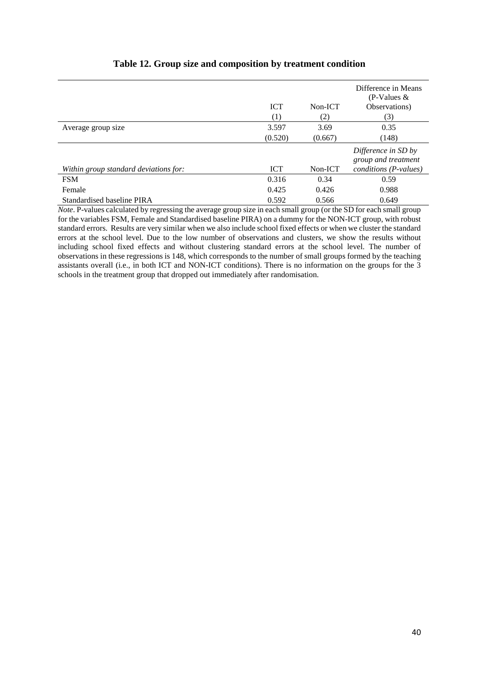|                                       |            |         | Difference in Means<br>(P-Values $&$       |
|---------------------------------------|------------|---------|--------------------------------------------|
|                                       | <b>ICT</b> | Non-ICT | Observations)                              |
|                                       | (1)        | (2)     | (3)                                        |
| Average group size                    | 3.597      | 3.69    | 0.35                                       |
|                                       | (0.520)    | (0.667) | (148)                                      |
|                                       |            |         | Difference in SD by<br>group and treatment |
| Within group standard deviations for: | <b>ICT</b> | Non-ICT | conditions (P-values)                      |
| <b>FSM</b>                            | 0.316      | 0.34    | 0.59                                       |
| Female                                | 0.425      | 0.426   | 0.988                                      |
| Standardised baseline PIRA            | 0.592      | 0.566   | 0.649                                      |

# **Table 12. Group size and composition by treatment condition**

*Note*. P-values calculated by regressing the average group size in each small group (or the SD for each small group for the variables FSM, Female and Standardised baseline PIRA) on a dummy for the NON-ICT group, with robust standard errors. Results are very similar when we also include school fixed effects or when we cluster the standard errors at the school level. Due to the low number of observations and clusters, we show the results without including school fixed effects and without clustering standard errors at the school level. The number of observations in these regressions is 148, which corresponds to the number of small groups formed by the teaching assistants overall (i.e., in both ICT and NON-ICT conditions). There is no information on the groups for the 3 schools in the treatment group that dropped out immediately after randomisation.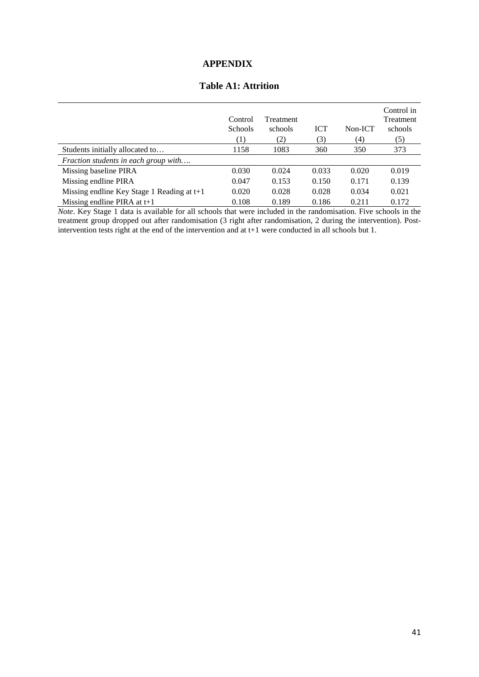# **APPENDIX**

# **Table A1: Attrition**

|                                            | Control<br><b>Schools</b><br>(1) | Treatment<br>schools<br>(2) | <b>ICT</b><br>(3) | Non-ICT<br>(4) | Control in<br><b>Treatment</b><br>schools<br>(5) |
|--------------------------------------------|----------------------------------|-----------------------------|-------------------|----------------|--------------------------------------------------|
| Students initially allocated to            | 1158                             | 1083                        | 360               | 350            | 373                                              |
| Fraction students in each group with       |                                  |                             |                   |                |                                                  |
| Missing baseline PIRA                      | 0.030                            | 0.024                       | 0.033             | 0.020          | 0.019                                            |
| Missing endline PIRA                       | 0.047                            | 0.153                       | 0.150             | 0.171          | 0.139                                            |
| Missing endline Key Stage 1 Reading at t+1 | 0.020                            | 0.028                       | 0.028             | 0.034          | 0.021                                            |
| Missing endline PIRA at $t+1$              | 0.108                            | 0.189                       | 0.186             | 0.211          | 0.172                                            |

*Note*. Key Stage 1 data is available for all schools that were included in the randomisation. Five schools in the treatment group dropped out after randomisation (3 right after randomisation, 2 during the intervention). Postintervention tests right at the end of the intervention and at t+1 were conducted in all schools but 1.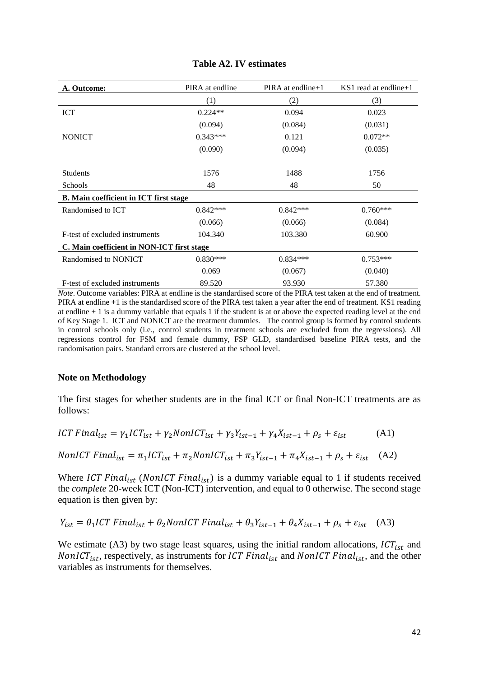| A. Outcome:                                | PIRA at endline | $PIRA$ at endline + 1 | KS1 read at endline + $1$ |  |
|--------------------------------------------|-----------------|-----------------------|---------------------------|--|
|                                            | (1)             | (2)                   | (3)                       |  |
| <b>ICT</b>                                 | $0.224**$       | 0.094                 | 0.023                     |  |
|                                            | (0.094)         | (0.084)               | (0.031)                   |  |
| <b>NONICT</b>                              | $0.343***$      | 0.121                 | $0.072**$                 |  |
|                                            | (0.090)         | (0.094)               | (0.035)                   |  |
|                                            |                 |                       |                           |  |
| Students                                   | 1576            | 1488                  | 1756                      |  |
| Schools                                    | 48              | 48                    | 50                        |  |
| B. Main coefficient in ICT first stage     |                 |                       |                           |  |
| Randomised to ICT                          | $0.842***$      | $0.842***$            | $0.760***$                |  |
|                                            | (0.066)         | (0.066)               | (0.084)                   |  |
| F-test of excluded instruments             | 104.340         | 103.380               | 60.900                    |  |
| C. Main coefficient in NON-ICT first stage |                 |                       |                           |  |
| Randomised to NONICT                       | $0.830***$      | $0.834***$            | $0.753***$                |  |
|                                            | 0.069           | (0.067)               | (0.040)                   |  |
| F-test of excluded instruments             | 89.520          | 93.930                | 57.380                    |  |

# **Table A2. IV estimates**

*Note*. Outcome variables: PIRA at endline is the standardised score of the PIRA test taken at the end of treatment. PIRA at endline +1 is the standardised score of the PIRA test taken a year after the end of treatment. KS1 reading at endline + 1 is a dummy variable that equals 1 if the student is at or above the expected reading level at the end of Key Stage 1. ICT and NONICT are the treatment dummies. The control group is formed by control students in control schools only (i.e., control students in treatment schools are excluded from the regressions). All regressions control for FSM and female dummy, FSP GLD, standardised baseline PIRA tests, and the randomisation pairs. Standard errors are clustered at the school level.

### **Note on Methodology**

The first stages for whether students are in the final ICT or final Non-ICT treatments are as follows:

$$
ICT\ Final_{ist} = \gamma_1 ICT_{ist} + \gamma_2 NonICT_{ist} + \gamma_3 Y_{ist-1} + \gamma_4 X_{ist-1} + \rho_s + \varepsilon_{ist}
$$
 (A1)

$$
NonICT\ Final_{ist} = \pi_1 ICT_{ist} + \pi_2 NonICT_{ist} + \pi_3 Y_{ist-1} + \pi_4 X_{ist-1} + \rho_s + \varepsilon_{ist} \quad (A2)
$$

Where *ICT Final<sub>ist</sub>* (*NonICT Final<sub>ist</sub>*) is a dummy variable equal to 1 if students received the *complete* 20-week ICT (Non-ICT) intervention, and equal to 0 otherwise. The second stage equation is then given by:

$$
Y_{ist} = \theta_1 ICT \text{ Final}_{ist} + \theta_2 \text{NonICT Final}_{ist} + \theta_3 Y_{ist-1} + \theta_4 X_{ist-1} + \rho_s + \varepsilon_{ist} \quad (A3)
$$

We estimate (A3) by two stage least squares, using the initial random allocations,  $ICT_{ist}$  and NonICT<sub>ist</sub>, respectively, as instruments for ICT Final<sub>ist</sub> and NonICT Final<sub>ist</sub>, and the other variables as instruments for themselves.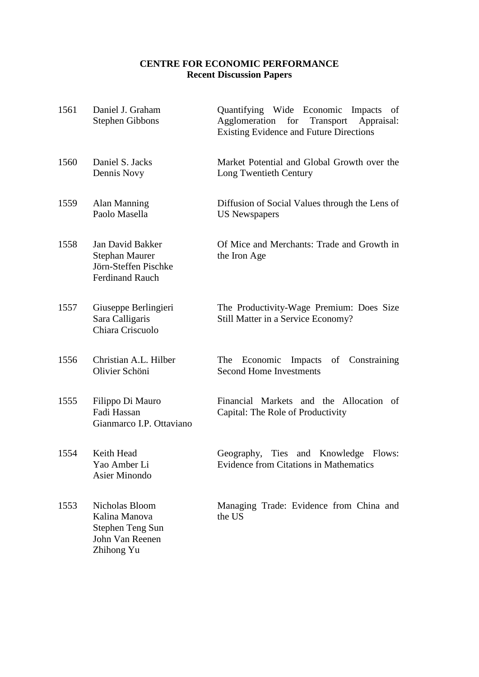# **CENTRE FOR ECONOMIC PERFORMANCE Recent Discussion Papers**

| 1561 | Daniel J. Graham<br><b>Stephen Gibbons</b>                                                  | Quantifying Wide Economic Impacts<br>of<br>Agglomeration<br>for Transport<br>Appraisal:<br><b>Existing Evidence and Future Directions</b> |
|------|---------------------------------------------------------------------------------------------|-------------------------------------------------------------------------------------------------------------------------------------------|
| 1560 | Daniel S. Jacks<br>Dennis Novy                                                              | Market Potential and Global Growth over the<br>Long Twentieth Century                                                                     |
| 1559 | Alan Manning<br>Paolo Masella                                                               | Diffusion of Social Values through the Lens of<br><b>US Newspapers</b>                                                                    |
| 1558 | Jan David Bakker<br><b>Stephan Maurer</b><br>Jörn-Steffen Pischke<br><b>Ferdinand Rauch</b> | Of Mice and Merchants: Trade and Growth in<br>the Iron Age                                                                                |
| 1557 | Giuseppe Berlingieri<br>Sara Calligaris<br>Chiara Criscuolo                                 | The Productivity-Wage Premium: Does Size<br>Still Matter in a Service Economy?                                                            |
| 1556 | Christian A.L. Hilber<br>Olivier Schöni                                                     | Economic Impacts<br>of<br>Constraining<br>The<br><b>Second Home Investments</b>                                                           |
| 1555 | Filippo Di Mauro<br>Fadi Hassan<br>Gianmarco I.P. Ottaviano                                 | Financial Markets and the Allocation of<br>Capital: The Role of Productivity                                                              |
| 1554 | Keith Head<br>Yao Amber Li<br><b>Asier Minondo</b>                                          | Ties<br>and Knowledge Flows:<br>Geography,<br><b>Evidence from Citations in Mathematics</b>                                               |
| 1553 | Nicholas Bloom<br>Kalina Manova<br>Stephen Teng Sun<br>John Van Reenen<br>Zhihong Yu        | Managing Trade: Evidence from China and<br>the US                                                                                         |